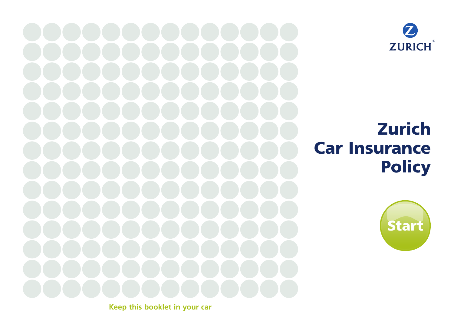

# Zurich Car Insurance **Policy**



**Keep this booklet in your car**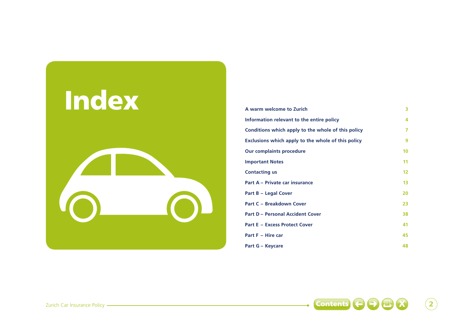

| A warm welcome to Zurich                           | 3                 |
|----------------------------------------------------|-------------------|
| Information relevant to the entire policy          | 4                 |
| Conditions which apply to the whole of this policy | 7                 |
| Exclusions which apply to the whole of this policy | 9                 |
| <b>Our complaints procedure</b>                    | 10                |
| <b>Important Notes</b>                             | 11                |
| <b>Contacting us</b>                               | $12 \overline{ }$ |
| Part A - Private car insurance                     | 13                |
| <b>Part B - Legal Cover</b>                        | 20                |
| <b>Part C - Breakdown Cover</b>                    | 23                |
| <b>Part D - Personal Accident Cover</b>            | 38                |
| <b>Part E - Excess Protect Cover</b>               | 41                |
| Part F - Hire car                                  | 45                |
| <b>Part G - Keycare</b>                            | 48                |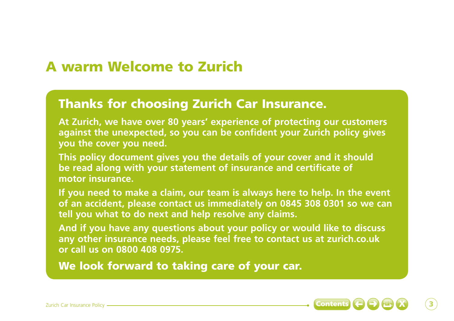# A warm Welcome to Zurich

# Thanks for choosing Zurich Car Insurance.

**At Zurich, we have over 80 years' experience of protecting our customers against the unexpected, so you can be confident your Zurich policy gives you the cover you need.** 

**This policy document gives you the details of your cover and it should be read along with your statement of insurance and certificate of motor insurance.** 

**If you need to make a claim, our team is always here to help. In the event of an accident, please contact us immediately on 0845 308 0301 so we can tell you what to do next and help resolve any claims.** 

**And if you have any questions about your policy or would like to discuss any other insurance needs, please feel free to contact us at zurich.co.uk or call us on 0800 408 0975.** 

We look forward to taking care of your car.

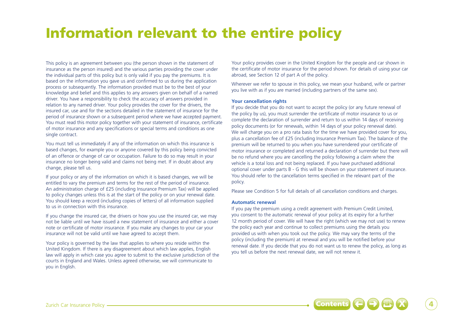# Information relevant to the entire policy

This policy is an agreement between you (the person shown in the statement of insurance as the person insured) and the various parties providing the cover under the individual parts of this policy but is only valid if you pay the premiums. It is based on the information you gave us and confirmed to us during the application process or subsequently. The information provided must be to the best of your knowledge and belief and this applies to any answers given on behalf of a named driver. You have a responsibility to check the accuracy of answers provided in relation to any named driver. Your policy provides the cover for the drivers, the insured car, use and for the sections detailed in the statement of insurance for the period of insurance shown or a subsequent period where we have accepted payment. You must read this motor policy together with your statement of insurance, certificate of motor insurance and any specifications or special terms and conditions as one single contract.

You must tell us immediately if any of the information on which this insurance is based changes, for example you or anyone covered by this policy being convicted of an offence or change of car or occupation. Failure to do so may result in your insurance no longer being valid and claims not being met. If in doubt about any change, please tell us.

If your policy or any of the information on which it is based changes, we will be entitled to vary the premium and terms for the rest of the period of insurance. An administration charge of £25 (including Insurance Premium Tax) will be applied to policy changes unless this is at the start of the policy or on your renewal date. You should keep a record (including copies of letters) of all information supplied to us in connection with this insurance.

If you change the insured car, the drivers or how you use the insured car, we may not be liable until we have issued a new statement of insurance and either a cover note or certificate of motor insurance. If you make any changes to your car your insurance will not be valid until we have agreed to accept them.

Your policy is governed by the law that applies to where you reside within the United Kingdom. If there is any disagreement about which law applies, English law will apply in which case you agree to submit to the exclusive jurisdiction of the courts in England and Wales. Unless agreed otherwise, we will communicate to you in English.

Your policy provides cover in the United Kingdom for the people and car shown in the certificate of motor insurance for the period shown. For details of using your car abroad, see Section 12 of part A of the policy.

Wherever we refer to spouse in this policy, we mean your husband, wife or partner you live with as if you are married (including partners of the same sex).

#### **Your cancellation rights**

If you decide that you do not want to accept the policy (or any future renewal of the policy by us), you must surrender the certificate of motor insurance to us or complete the declaration of surrender and return to us within 14 days of receiving policy documents (or for renewals, within 14 days of your policy renewal date). We will charge you on a pro rata basis for the time we have provided cover for you, plus a cancellation fee of £25 (including Insurance Premium Tax). The balance of the premium will be returned to you when you have surrendered your certificate of motor insurance or completed and returned a declaration of surrender but there will be no refund where you are cancelling the policy following a claim where the vehicle is a total loss and not being replaced. If you have purchased additional optional cover under parts B - G this will be shown on your statement of insurance. You should refer to the cancellation terms specified in the relevant part of the policy.

Please see Condition 5 for full details of all cancellation conditions and charges.

#### **Automatic renewal**

If you pay the premium using a credit agreement with Premium Credit Limited, you consent to the automatic renewal of your policy at its expiry for a further 12 month period of cover. We will have the right (which we may not use) to renew the policy each year and continue to collect premiums using the details you provided us with when you took out the policy. We may vary the terms of the policy (including the premium) at renewal and you will be notified before your renewal date. If you decide that you do not want us to renew the policy, as long as you tell us before the next renewal date, we will not renew it.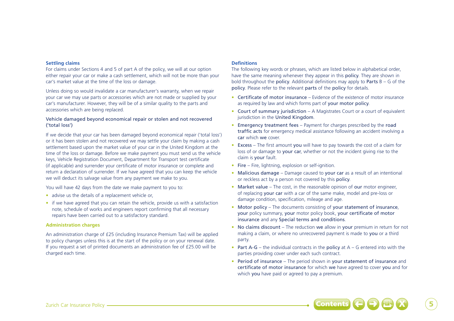#### **Settling claims**

For claims under Sections 4 and 5 of part A of the policy, we will at our option either repair your car or make a cash settlement, which will not be more than your car's market value at the time of the loss or damage.

Unless doing so would invalidate a car manufacturer's warranty, when we repair your car we may use parts or accessories which are not made or supplied by your car's manufacturer. However, they will be of a similar quality to the parts and accessories which are being replaced.

### Vehicle damaged beyond economical repair or stolen and not recovered ('total loss')

If we decide that your car has been damaged beyond economical repair ('total loss') or it has been stolen and not recovered we may settle your claim by making a cash settlement based upon the market value of your car in the United Kingdom at the time of the loss or damage. Before we make payment you must send us the vehicle keys, Vehicle Registration Document, Department for Transport test certificate (if applicable) and surrender your certificate of motor insurance or complete and return a declaration of surrender. If we have agreed that you can keep the vehicle we will deduct its salvage value from any payment we make to you.

You will have 42 days from the date we make payment to you to:

- advise us the details of a replacement vehicle or,
- if we have agreed that you can retain the vehicle, provide us with a satisfaction note, schedule of works and engineers report confirming that all necessary repairs have been carried out to a satisfactory standard.

#### **Administration charges**

An administration charge of £25 (including Insurance Premium Tax) will be applied to policy changes unless this is at the start of the policy or on your renewal date. If you request a set of printed documents an administration fee of £25.00 will be charged each time.

## **Definitions**

The following key words or phrases, which are listed below in alphabetical order, have the same meaning whenever they appear in this policy. They are shown in bold throughout the **policy**. Additional definitions may apply to **Parts**  $B - G$  of the policy. Please refer to the relevant parts of the policy for details.

- Certificate of motor insurance Evidence of the existence of motor insurance as required by law and which forms part of your motor policy.
- Court of summary jurisdiction A Magistrates Court or a court of equivalent jurisdiction in the United Kingdom.
- Emergency treatment fees Payment for charges prescribed by the road traffic acts for emergency medical assistance following an accident involving a car which we cover.
- Excess The first amount you will have to pay towards the cost of a claim for loss of or damage to your car, whether or not the incident giving rise to the claim is your fault.
- Fire Fire, lightning, explosion or self-ignition.
- Malicious damage Damage caused to your car as a result of an intentional or reckless act by a person not covered by this policy.
- Market value The cost, in the reasonable opinion of our motor engineer, of replacing your car with a car of the same make, model and pre-loss or damage condition, specification, mileage and age.
- Motor policy The documents consisting of your statement of insurance, your policy summary, your motor policy book, your certificate of motor insurance and any Special terms and conditions.
- No claims discount The reduction we allow in your premium in return for not making a claim, or where no unrecovered payment is made to you or a third party.
- Part  $A G -$  the individual contracts in the policy at  $A G$  entered into with the parties providing cover under each such contract.
- Period of insurance The period shown in your statement of insurance and certificate of motor insurance for which we have agreed to cover you and for which you have paid or agreed to pay a premium.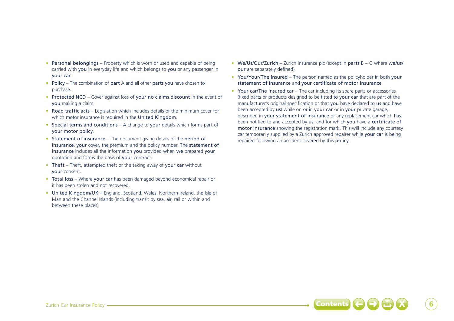- Personal belongings Property which is worn or used and capable of being carried with you in everyday life and which belongs to you or any passenger in your car.
- Policy The combination of part A and all other parts you have chosen to purchase.
- Protected NCD Cover against loss of your no claims discount in the event of you making a claim.
- Road traffic acts Legislation which includes details of the minimum cover for which motor insurance is required in the United Kingdom.
- Special terms and conditions A change to your details which forms part of your motor policy.
- Statement of insurance The document giving details of the period of insurance, your cover, the premium and the policy number. The statement of insurance includes all the information you provided when we prepared your quotation and forms the basis of your contract.
- Theft Theft, attempted theft or the taking away of your car without your consent.
- Total loss Where your car has been damaged beyond economical repair or it has been stolen and not recovered.
- United Kingdom/UK England, Scotland, Wales, Northern Ireland, the Isle of Man and the Channel Islands (including transit by sea, air, rail or within and between these places).
- We/Us/Our/Zurich Zurich Insurance plc (except in parts B G where we/us/ our are separately defined).
- You/Your/The insured The person named as the policyholder in both your statement of insurance and your certificate of motor insurance.
- Your car/The insured car The car including its spare parts or accessories (fixed parts or products designed to be fitted to your car that are part of the manufacturer's original specification or that you have declared to us and have been accepted by us) while on or in your car or in your private garage, described in your statement of insurance or any replacement car which has been notified to and accepted by us, and for which you have a certificate of motor insurance showing the registration mark. This will include any courtesy car temporarily supplied by a Zurich approved repairer while your car is being repaired following an accident covered by this policy.

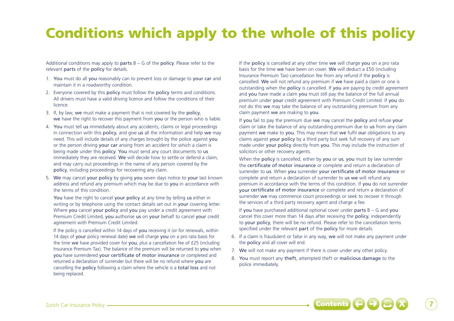# Conditions which apply to the whole of this policy

Additional conditions may apply to **parts**  $B - G$  of the **policy**. Please refer to the relevant parts of the policy for details.

- 1. You must do all you reasonably can to prevent loss or damage to your car and maintain it in a roadworthy condition.
- 2. Everyone covered by this **policy** must follow the **policy** terms and conditions. All drivers must have a valid driving licence and follow the conditions of their licence.
- 3. If, by law, we must make a payment that is not covered by the policy, we have the right to recover this payment from you or the person who is liable.
- 4. You must tell us immediately about any accidents, claims or legal proceedings in connection with this policy, and give us all the information and help we may need. This will include details of any charges brought by the police against you or the person driving your car arising from an accident for which a claim is being made under this policy. You must send any court documents to us immediately they are received. We will decide how to settle or defend a claim, and may carry out proceedings in the name of any person covered by the policy, including proceedings for recovering any claim.
- 5. We may cancel your policy by giving you seven days notice to your last known address and refund any premium which may be due to you in accordance with the terms of this condition.

You have the right to cancel your policy at any time by telling us either in writing or by telephone using the contact details set out in your covering letter. Where you cancel your policy and you pay under a credit agreement with Premium Credit Limited, you authorise us on your behalf to cancel your credit agreement with Premium Credit Limited.

If the policy is cancelled within 14 days of you receiving it (or for renewals, within 14 days of your policy renewal date) we will charge you on a pro rata basis for the time we have provided cover for you, plus a cancellation fee of £25 (including Insurance Premium Tax). The balance of the premium will be returned to you when you have surrendered your certificate of motor insurance or completed and returned a declaration of surrender but there will be no refund where you are cancelling the policy following a claim where the vehicle is a total loss and not being replaced.

If the policy is cancelled at any other time we will charge you on a pro rata basis for the time we have been on cover. We will deduct a £50 (including Insurance Premium Tax) cancellation fee from any refund if the policy is cancelled. We will not refund any premium if we have paid a claim or one is outstanding when the policy is cancelled. If you are paying by credit agreement and you have made a claim you must still pay the balance of the full annual premium under your credit agreement with Premium Credit Limited. If you do not do this we may take the balance of any outstanding premium from any claim payment we are making to you.

If you fail to pay the premium due we may cancel the policy and refuse your claim or take the balance of any outstanding premium due to us from any claim payment we make to you. This may mean that we fulfil our obligations to any claims against your policy by a third party but seek full recovery of any sum made under **your policy** directly from **you**. This may include the instruction of solicitors or other recovery agents.

When the **policy** is cancelled, either by you or us, you must by law surrender the certificate of motor insurance or complete and return a declaration of surrender to us. When you surrender your certificate of motor insurance or complete and return a declaration of surrender to us we will refund any premium in accordance with the terms of this condition. If you do not surrender your certificate of motor insurance or complete and return a declaration of surrender we may commence court proceedings or seek to recover it through the services of a third party recovery agent and charge a fee.

If you have purchased additional optional cover under parts  $B - G$  and you cancel this cover more than 14 days after receiving the policy, independently to your policy, there will be no refund. Please refer to the cancellation terms specified under the relevant part of the policy for more details.

- 6. If a claim is fraudulent or false in any way, we will not make any payment under the policy and all cover will end.
- 7. We will not make any payment if there is cover under any other policy.
- 8. You must report any theft, attempted theft or malicious damage to the police immediately.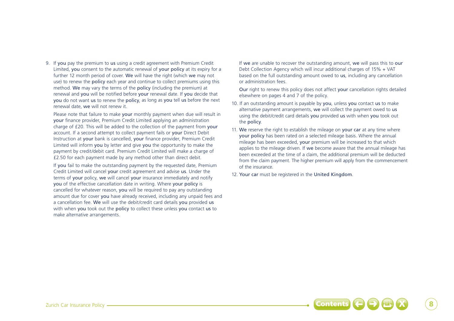9. If you pay the premium to us using a credit agreement with Premium Credit Limited, you consent to the automatic renewal of your policy at its expiry for a further 12 month period of cover. We will have the right (which we may not use) to renew the policy each year and continue to collect premiums using this method. We may vary the terms of the policy (including the premium) at renewal and you will be notified before your renewal date. If you decide that you do not want us to renew the policy, as long as you tell us before the next renewal date, we will not renew it.

Please note that failure to make your monthly payment when due will result in your finance provider, Premium Credit Limited applying an administration charge of £20. This will be added to the collection of the payment from your account. If a second attempt to collect payment fails or your Direct Debit Instruction at your bank is cancelled, your finance provider, Premium Credit Limited will inform you by letter and give you the opportunity to make the payment by credit/debit card. Premium Credit Limited will make a charge of £2.50 for each payment made by any method other than direct debit.

If you fail to make the outstanding payment by the requested date, Premium Credit Limited will cancel your credit agreement and advise us. Under the terms of your policy, we will cancel your insurance immediately and notify you of the effective cancellation date in writing. Where your policy is cancelled for whatever reason, you will be required to pay any outstanding amount due for cover you have already received, including any unpaid fees and a cancellation fee. We will use the debit/credit card details you provided us with when you took out the policy to collect these unless you contact us to make alternative arrangements.

If we are unable to recover the outstanding amount, we will pass this to our Debt Collection Agency which will incur additional charges of 15% + VAT based on the full outstanding amount owed to us, including any cancellation or administration fees.

Our right to renew this policy does not affect your cancellation rights detailed elsewhere on pages 4 and 7 of the policy.

- 10. If an outstanding amount is payable by you, unless you contact us to make alternative payment arrangements, we will collect the payment owed to us using the debit/credit card details you provided us with when you took out the policy.
- 11. We reserve the right to establish the mileage on your car at any time where your policy has been rated on a selected mileage basis. Where the annual mileage has been exceeded, your premium will be increased to that which applies to the mileage driven. If we become aware that the annual mileage has been exceeded at the time of a claim, the additional premium will be deducted from the claim payment. The higher premium will apply from the commencement of the insurance.
- 12. Your car must be registered in the United Kingdom.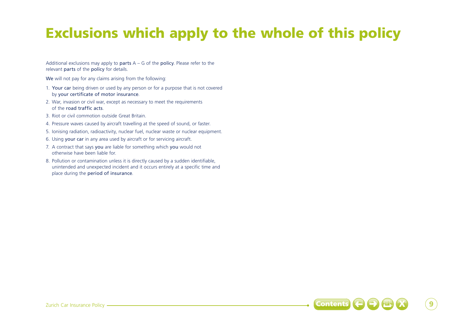# Exclusions which apply to the whole of this policy

Additional exclusions may apply to parts  $A - G$  of the policy. Please refer to the relevant parts of the policy for details.

We will not pay for any claims arising from the following:

- 1. Your car being driven or used by any person or for a purpose that is not covered by your certificate of motor insurance.
- 2. War, invasion or civil war, except as necessary to meet the requirements of the road traffic acts.
- 3. Riot or civil commotion outside Great Britain.
- 4. Pressure waves caused by aircraft travelling at the speed of sound, or faster.
- 5. Ionising radiation, radioactivity, nuclear fuel, nuclear waste or nuclear equipment.
- 6. Using your car in any area used by aircraft or for servicing aircraft.
- 7. A contract that says you are liable for something which you would not otherwise have been liable for.
- 8. Pollution or contamination unless it is directly caused by a sudden identifiable, unintended and unexpected incident and it occurs entirely at a specific time and place during the period of insurance.

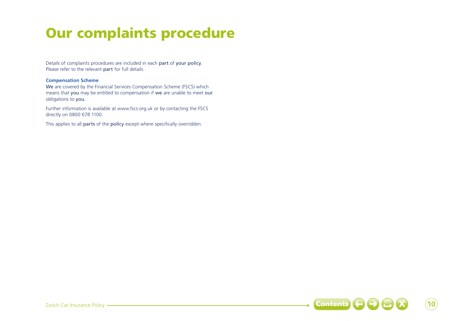# Our complaints procedure

Details of complaints procedures are included in each part of your policy. Please refer to the relevant part for full details.

# **Compensation Scheme**

We are covered by the Financial Services Compensation Scheme (FSCS) which means that you may be entitled to compensation if we are unable to meet our obligations to you.

Further information is available at www.fscs.org.uk or by contacting the FSCS directly on 0800 678 1100.

This applies to all parts of the policy except where specifically overridden.

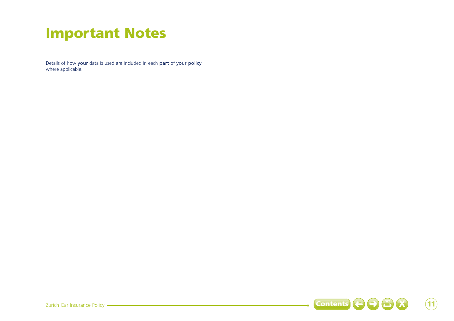# Important Notes

Details of how your data is used are included in each part of your policy where applicable.

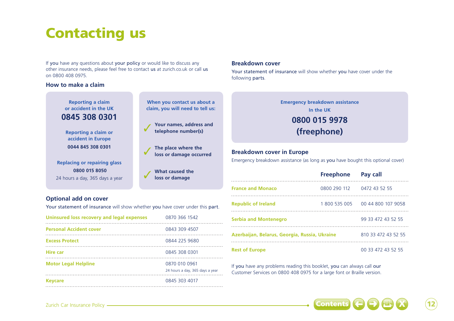# Contacting us

If you have any questions about your policy or would like to discuss any other insurance needs, please feel free to contact us at zurich.co.uk or call us on 0800 408 0975.

# **How to make a claim**

**Reporting a claim or accident in the UK 0845 308 0301**

**Reporting a claim or accident in Europe 0044 845 308 0301**

**Replacing or repairing glass 0800 015 8050** 24 hours a day, 365 days a year

# **Optional add on cover**

Your statement of insurance will show whether you have cover under this part.

**loss or damage occurred**

3 **What caused the loss or damage**

| Uninsured loss recovery and legal expenses | 0870 366 1542                                    |
|--------------------------------------------|--------------------------------------------------|
| <b>Personal Accident cover</b>             | 0843 309 4507                                    |
| <b>Excess Protect</b>                      | 0844 225 9680                                    |
| <b>Hire car</b>                            | 0845 308 0301                                    |
| <b>Motor Legal Helpline</b>                | 0870 010 0961<br>24 hours a day, 365 days a year |
| <b>Keycare</b>                             | 0845 303 4017                                    |

# **Breakdown cover**

Your statement of insurance will show whether you have cover under the following parts.



# **Breakdown cover in Europe**

Emergency breakdown assistance (as long as you have bought this optional cover)

|                                               | Freephone Pay call         |                                    |
|-----------------------------------------------|----------------------------|------------------------------------|
| <b>France and Monaco</b>                      | 0800 290 112 0472 43 52 55 |                                    |
| <b>Republic of Ireland</b>                    |                            | 1 800 535 005   00 44 800 107 9058 |
| <b>Serbia and Montenegro</b>                  |                            | 99 33 472 43 52 55                 |
| Azerbaijan, Belarus, Georgia, Russia, Ukraine |                            | 810 33 472 43 52 55                |
| <b>Rest of Europe</b>                         |                            | 00 33 472 43 52 55                 |

If you have any problems reading this booklet, you can always call our Customer Services on 0800 408 0975 for a large font or Braille version.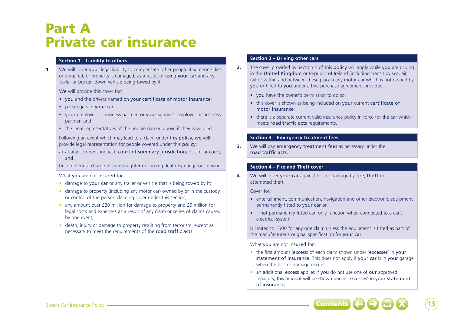# Part A Private car insurance

# **Section 1 – Liability to others**

**1.** We will cover your legal liability to compensate other people if someone dies or is injured, or property is damaged, as a result of using your car and any trailer or broken-down vehicle being towed by it.

We will provide this cover for:

- you and the drivers named on your certificate of motor insurance;
- passengers in your car;
- your employer or business partner, or your spouse's employer or business partner; and
- the legal representatives of the people named above if they have died.

Following an event which may lead to a claim under this policy, we will provide legal representation for people covered under this policy:

a) at any coroner's inquest, court of summary jurisdiction, or similar court; and

b) to defend a charge of manslaughter or causing death by dangerous driving.

What you are not insured for:

- damage to your car or any trailer or vehicle that is being towed by it;
- damage to property (including any motor car) owned by or in the custody or control of the person claiming cover under this section;
- any amount over £20 million for damage to property and £5 million for legal costs and expenses as a result of any claim or series of claims caused by one event;
- death, injury or damage to property resulting from terrorism, except as necessary to meet the requirements of the road traffic acts.

# **Section 2 – Driving other cars**

- **2.** The cover provided by Section 1 of this policy will apply while you are driving in the United Kingdom or Republic of Ireland (including transit by sea, air, rail or within and between these places) any motor car which is not owned by you or hired to you under a hire purchase agreement provided:
	- you have the owner's permission to do so;
	- this cover is shown as being included on your current certificate of motor insurance;
	- there is a separate current valid insurance policy in force for the car which meets road traffic acts requirements.

## **Section 3 – Emergency treatment fees**

**3.** We will pay emergency treatment fees as necessary under the road traffic acts.

# **Section 4 – Fire and Theft cover**

**4.** We will cover your car against loss or damage by fire, theft or attempted theft.

Cover for:

- entertainment, communication, navigation and other electronic equipment permanently fitted to your car or,
- if not permanently fitted can only function when connected to a car's electrical system

is limited to £500 for any one claim unless the equipment is fitted as part of the manufacturer's original specification for your car.

What you are not insured for:

- the first amount (excess) of each claim shown under 'excesses' in your statement of insurance. This does not apply if your car is in your garage when the loss or damage occurs.
- an additional excess applies if you do not use one of our approved repairers, this amount will be shown under 'excesses' in your statement of insurance;

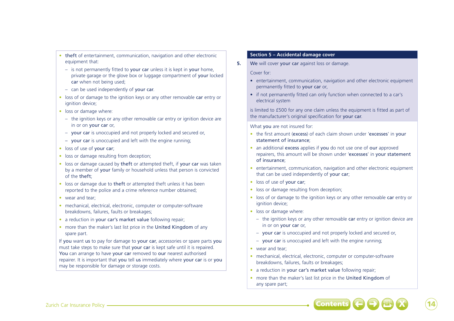- theft of entertainment, communication, navigation and other electronic equipment that:
	- $-$  is not permanently fitted to your car unless it is kept in your home, private garage or the glove box or luggage compartment of your locked car when not being used;
	- can be used independently of your car.
- loss of or damage to the ignition keys or any other removable car entry or ignition device:
- loss or damage where:
	- the ignition keys or any other removable car entry or ignition device are in or on your car or,
- your car is unoccupied and not properly locked and secured or,
- your car is unoccupied and left with the engine running;
- loss of use of your car:
- loss or damage resulting from deception:
- loss or damage caused by theft or attempted theft, if your car was taken by a member of your family or household unless that person is convicted of the theft;
- loss or damage due to theft or attempted theft unless it has been reported to the police and a crime reference number obtained;
- wear and tear;
- mechanical, electrical, electronic, computer or computer-software breakdowns, failures, faults or breakages;
- a reduction in your car's market value following repair:
- more than the maker's last list price in the United Kingdom of any spare part.

If you want us to pay for damage to your car, accessories or spare parts you must take steps to make sure that your car is kept safe until it is repaired. You can arrange to have your car removed to our nearest authorised repairer. It is important that you tell us immediately where your car is or you may be responsible for damage or storage costs.

## **Section 5 – Accidental damage cover**

**5.** We will cover your car against loss or damage.

Cover for:

- entertainment, communication, navigation and other electronic equipment permanently fitted to your car or,
- if not permanently fitted can only function when connected to a car's electrical system
- is limited to £500 for any one claim unless the equipment is fitted as part of the manufacturer's original specification for your car.

What you are not insured for:

- the first amount (excess) of each claim shown under 'excesses' in your statement of insurance;
- an additional excess applies if you do not use one of our approved repairers, this amount will be shown under 'excesses' in your statement of insurance;
- entertainment, communication, navigation and other electronic equipment that can be used independently of your car;
- loss of use of your car;
- loss or damage resulting from deception;
- loss of or damage to the ignition keys or any other removable car entry or ignition device:
- loss or damage where:
	- $-$  the ignition keys or any other removable car entry or ignition device are in or on your car or,
	- your car is unoccupied and not properly locked and secured or,
	- your car is unoccupied and left with the engine running;
- wear and tear:
- mechanical, electrical, electronic, computer or computer-software breakdowns, failures, faults or breakages;
- a reduction in your car's market value following repair;
- more than the maker's last list price in the United Kingdom of any spare part;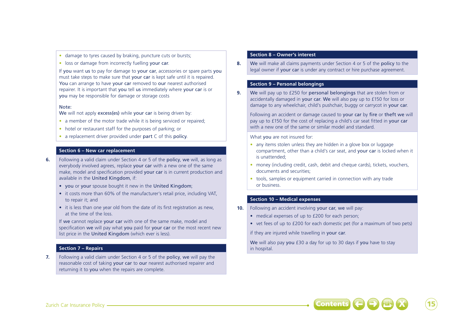- damage to tyres caused by braking, puncture cuts or bursts;
- loss or damage from incorrectly fuelling your car.

If you want us to pay for damage to your car, accessories or spare parts you must take steps to make sure that **your car** is kept safe until it is repaired. You can arrange to have your car removed to our nearest authorised repairer. It is important that you tell us immediately where your car is or you may be responsible for damage or storage costs

#### Note:

We will not apply excess(es) while your car is being driven by:

- a member of the motor trade while it is being serviced or repaired;
- hotel or restaurant staff for the purposes of parking; or
- a replacement driver provided under part C of this policy.

# **Section 6 – New car replacement**

- **6.** Following a valid claim under Section 4 or 5 of the policy, we will, as long as everybody involved agrees, replace your car with a new one of the same make, model and specification provided your car is in current production and available in the United Kingdom, if:
	- you or your spouse bought it new in the United Kingdom;
	- it costs more than 60% of the manufacturer's retail price, including VAT, to repair it; and
	- it is less than one year old from the date of its first registration as new, at the time of the loss.

If we cannot replace your car with one of the same make, model and specification we will pay what you paid for your car or the most recent new list price in the United Kingdom (which ever is less).

#### **Section 7 – Repairs**

**7.** Following a valid claim under Section 4 or 5 of the policy, we will pay the reasonable cost of taking your car to our nearest authorised repairer and returning it to you when the repairs are complete.

#### **Section 8 – Owner's interest**

**8.** We will make all claims payments under Section 4 or 5 of the policy to the legal owner if your car is under any contract or hire purchase agreement.

#### **Section 9 – Personal belongings**

**9.** We will pay up to £250 for personal belongings that are stolen from or accidentally damaged in your car. We will also pay up to £150 for loss or damage to any wheelchair, child's pushchair, buggy or carrycot in your car.

Following an accident or damage caused to your car by fire or theft we will pay up to £150 for the cost of replacing a child's car seat fitted in your car with a new one of the same or similar model and standard.

What you are not insured for:

- any items stolen unless they are hidden in a glove box or luggage compartment, other than a child's car seat, and your car is locked when it is unattended;
- money (including credit, cash, debit and cheque cards), tickets, vouchers, documents and securities;
- tools, samples or equipment carried in connection with any trade or business.

# **Section 10 – Medical expenses**

- **10.** Following an accident involving your car, we will pay:
	- medical expenses of up to £200 for each person:
	- vet fees of up to £200 for each domestic pet (for a maximum of two pets)

if they are injured while travelling in your car.

We will also pay you £30 a day for up to 30 days if you have to stay in hospital.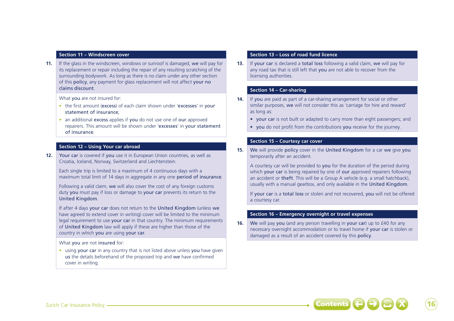#### **Section 11 – Windscreen cover**

**11.** If the glass in the windscreen, windows or sunroof is damaged, we will pay for its replacement or repair including the repair of any resulting scratching of the surrounding bodywork. As long as there is no claim under any other section of this policy, any payment for glass replacement will not affect your no claims discount.

What you are not insured for:

- the first amount (excess) of each claim shown under 'excesses' in your statement of insurance;
- an additional excess applies if you do not use one of our approved repairers. This amount will be shown under 'excesses' in your statement of insurance.

# **Section 12 – Using Your car abroad**

**12.** Your car is covered if you use it in European Union countries, as well as Croatia, Iceland, Norway, Switzerland and Liechtenstein.

Each single trip is limited to a maximum of 4 continuous days with a maximum total limit of 14 days in aggregate in any one **period of insurance**.

Following a valid claim, we will also cover the cost of any foreign customs duty you must pay if loss or damage to your car prevents its return to the United Kingdom.

If after 4 days your car does not return to the United Kingdom (unless we have agreed to extend cover in writing) cover will be limited to the minimum legal requirement to use your car in that country. The minimum requirements of United Kingdom law will apply if these are higher than those of the country in which you are using your car.

What you are not insured for:

• using your car in any country that is not listed above unless you have given us the details beforehand of the proposed trip and we have confirmed cover in writing.

#### **Section 13 – Loss of road fund licence**

**13.** If your car is declared a total loss following a valid claim, we will pay for any road tax that is still left that you are not able to recover from the licensing authorities.

## **Section 14 – Car-sharing**

- **14.** If you are paid as part of a car-sharing arrangement for social or other similar purposes, we will not consider this as 'carriage for hire and reward' as long as:
	- your car is not built or adapted to carry more than eight passengers; and
	- you do not profit from the contributions you receive for the journey.

#### **Section 15 – Courtesy car cover**

**15.** We will provide policy cover in the United Kingdom for a car we give you temporarily after an accident.

A courtesy car will be provided to you for the duration of the period during which your car is being repaired by one of our approved repairers following an accident or theft. This will be a Group A vehicle (e.g. a small hatchback), usually with a manual gearbox, and only available in the United Kingdom.

If your car is a total loss or stolen and not recovered, you will not be offered a courtesy car.

## **Section 16 – Emergency overnight or travel expenses**

**16.** We will pay you (and any person travelling in your car) up to £40 for any necessary overnight accommodation or to travel home if your car is stolen or damaged as a result of an accident covered by this policy.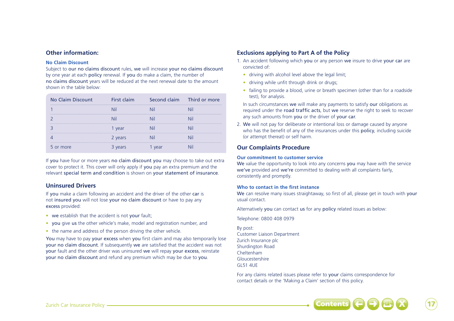# **Other information:**

#### **No Claim Discount**

Subject to our no claims discount rules, we will increase your no claims discount by one year at each policy renewal. If you do make a claim, the number of no claims discount years will be reduced at the next renewal date to the amount shown in the table below:

| No Claim Discount | First claim | Second claim Third or more |
|-------------------|-------------|----------------------------|
|                   |             |                            |
|                   |             |                            |
|                   | vear        |                            |
|                   | 2 years     |                            |
| 5 or more         | 3 years     |                            |

If you have four or more years no claim discount you may choose to take out extra cover to protect it. This cover will only apply if you pay an extra premium and the relevant special term and condition is shown on your statement of insurance.

# **Uninsured Drivers**

If you make a claim following an accident and the driver of the other car is not insured you will not lose your no claim discount or have to pay any excess provided:

- we establish that the accident is not your fault;
- you give us the other vehicle's make, model and registration number, and
- the name and address of the person driving the other vehicle.

You may have to pay your excess when you first claim and may also temporarily lose your no claim discount. If subsequently we are satisfied that the accident was not your fault and the other driver was uninsured we will repay your excess, reinstate your no claim discount and refund any premium which may be due to you.

# **Exclusions applying to Part A of the Policy**

- 1. An accident following which you or any person we insure to drive your car are convicted of:
	- driving with alcohol level above the legal limit:
	- driving while unfit through drink or drugs;
	- failing to provide a blood, urine or breath specimen (other than for a roadside test), for analysis.

In such circumstances we will make any payments to satisfy our obligations as required under the road traffic acts, but we reserve the right to seek to recover any such amounts from you or the driver of your car.

2. We will not pay for deliberate or intentional loss or damage caused by anyone who has the benefit of any of the insurances under this **policy**, including suicide (or attempt thereat) or self harm.

# **Our Complaints Procedure**

### **Our commitment to customer service**

We value the opportunity to look into any concerns you may have with the service we've provided and we're committed to dealing with all complaints fairly, consistently and promptly.

## **Who to contact in the first instance**

We can resolve many issues straightaway, so first of all, please get in touch with your usual contact.

Alternatively you can contact us for any policy related issues as below:

Telephone: 0800 408 0979

By post: Customer Liaison Department Zurich Insurance plc Shurdington Road Cheltenham Gloucestershire GL51 4UE

For any claims related issues please refer to your claims correspondence for contact details or the 'Making a Claim' section of this policy.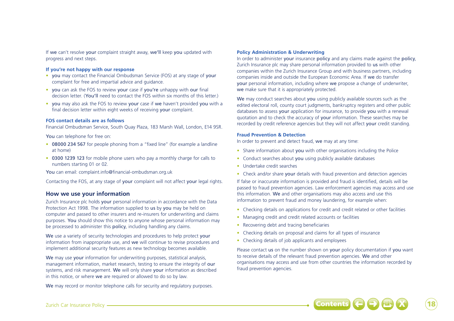If we can't resolve your complaint straight away, we'll keep you updated with progress and next steps.

### **If you're not happy with our response**

- you may contact the Financial Ombudsman Service (FOS) at any stage of your complaint for free and impartial advice and guidance.
- you can ask the FOS to review your case if you're unhappy with our final decision letter. (You'll need to contact the FOS within six months of this letter.)
- you may also ask the FOS to review your case if we haven't provided you with a final decision letter within eight weeks of receiving your complaint.

#### **FOS contact details are as follows**

Financial Ombudsman Service, South Quay Plaza, 183 Marsh Wall, London, E14 9SR.

You can telephone for free on:

- 08000 234 567 for people phoning from a "fixed line" (for example a landline at home)
- 0300 1239 123 for mobile phone users who pay a monthly charge for calls to numbers starting 01 or 02.

You can email: complaint.info@financial-ombudsman.org.uk

Contacting the FOS, at any stage of your complaint will not affect your legal rights.

# **How we use your information**

Zurich Insurance plc holds your personal information in accordance with the Data Protection Act 1998. The information supplied to us by you may be held on computer and passed to other insurers and re-insurers for underwriting and claims purposes. You should show this notice to anyone whose personal information may be processed to administer this policy, including handling any claims.

We use a variety of security technologies and procedures to help protect your information from inappropriate use, and we will continue to revise procedures and implement additional security features as new technology becomes available.

We may use your information for underwriting purposes, statistical analysis, management information, market research, testing to ensure the integrity of our systems, and risk management. We will only share your information as described in this notice, or where we are required or allowed to do so by law.

We may record or monitor telephone calls for security and regulatory purposes.

#### **Policy Administration & Underwriting**

In order to administer your insurance policy and any claims made against the policy, Zurich Insurance plc may share personal information provided to us with other companies within the Zurich Insurance Group and with business partners, including companies inside and outside the European Economic Area. If we do transfer your personal information, including where we propose a change of underwriter, we make sure that it is appropriately protected.

We may conduct searches about you using publicly available sources such as the edited electoral roll, county court judgments, bankruptcy registers and other public databases to assess your application for insurance, to provide you with a renewal quotation and to check the accuracy of your information. These searches may be recorded by credit reference agencies but they will not affect your credit standing.

#### **Fraud Prevention & Detection**

In order to prevent and detect fraud, we may at any time:

- Share information about you with other organisations including the Police
- Conduct searches about you using publicly available databases
- Undertake credit searches
- Check and/or share **your** details with fraud prevention and detection agencies

If false or inaccurate information is provided and fraud is identified, details will be passed to fraud prevention agencies. Law enforcement agencies may access and use this information. We and other organisations may also access and use this information to prevent fraud and money laundering, for example when:

- Checking details on applications for credit and credit related or other facilities
- Managing credit and credit related accounts or facilities
- Recovering debt and tracing beneficiaries
- Checking details on proposal and claims for all types of insurance
- Checking details of job applicants and employees

Please contact us on the number shown on your policy documentation if you want to receive details of the relevant fraud prevention agencies. We and other organisations may access and use from other countries the information recorded by fraud prevention agencies.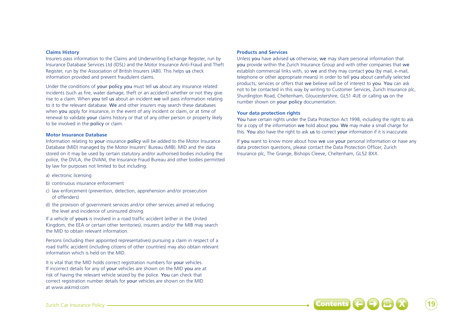#### **Claims History**

Insurers pass information to the Claims and Underwriting Exchange Register, run by Insurance Database Services Ltd (IDSL) and the Motor Insurance Anti-Fraud and Theft Register, run by the Association of British Insurers (ABI). This helps us check information provided and prevent fraudulent claims.

Under the conditions of your policy you must tell us about any insurance related incidents (such as fire, water damage, theft or an accident) whether or not they give rise to a claim. When you tell us about an incident we will pass information relating to it to the relevant database. We and other insurers may search these databases when you apply for insurance, in the event of any incident or claim, or at time of renewal to validate your claims history or that of any other person or property likely to be involved in the policy or claim.

#### **Motor Insurance Database**

Information relating to your insurance policy will be added to the Motor Insurance Database (MID) managed by the Motor Insurers' Bureau (MIB). MID and the data stored on it may be used by certain statutory and/or authorised bodies including the police, the DVLA, the DVANI, the Insurance Fraud Bureau and other bodies permitted by law for purposes not limited to but including:

- a) electronic licensing
- b) continuous insurance enforcement
- c) law enforcement (prevention, detection, apprehension and/or prosecution of offenders)
- d) the provision of government services and/or other services aimed at reducing the level and incidence of uninsured driving.

If a vehicle of yours is involved in a road traffic accident (either in the United Kingdom, the EEA or certain other territories), insurers and/or the MIB may search the MID to obtain relevant information.

Persons (including their appointed representatives) pursuing a claim in respect of a road traffic accident (including citizens of other countries) may also obtain relevant information which is held on the MID.

It is vital that the MID holds correct registration numbers for your vehicles. If incorrect details for any of your vehicles are shown on the MID you are at risk of having the relevant vehicle seized by the police. You can check that correct registration number details for your vehicles are shown on the MID at www.askmid.com

#### **Products and Services**

Unless you have advised us otherwise, we may share personal information that you provide within the Zurich Insurance Group and with other companies that we establish commercial links with, so we and they may contact you (by mail, e-mail, telephone or other appropriate means) in order to tell you about carefully selected products, services or offers that we believe will be of interest to you. You can ask not to be contacted in this way by writing to Customer Services, Zurich Insurance plc, Shurdington Road, Cheltenham, Gloucestershire, GL51 4UE or calling us on the number shown on your policy documentation.

#### **Your data protection rights**

You have certain rights under the Data Protection Act 1998, including the right to ask for a copy of the information we hold about you. We may make a small charge for this. You also have the right to ask us to correct your information if it is inaccurate.

If you want to know more about how we use your personal information or have any data protection questions, please contact the Data Protection Officer, Zurich Insurance plc, The Grange, Bishops Cleeve, Cheltenham, GL52 8XX.

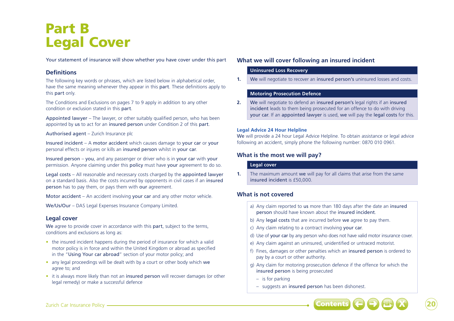# Part B Legal Cover

Your statement of insurance will show whether you have cover under this part

# **Definitions**

The following key words or phrases, which are listed below in alphabetical order, have the same meaning whenever they appear in this part. These definitions apply to this part only.

The Conditions and Exclusions on pages 7 to 9 apply in addition to any other condition or exclusion stated in this part.

Appointed lawyer – The lawyer, or other suitably qualified person, who has been appointed by us to act for an insured person under Condition 2 of this part.

# Authorised agent – Zurich Insurance plc

Insured incident – A motor accident which causes damage to your car or your personal effects or injures or kills an insured person whilst in your car.

Insured person – you, and any passenger or driver who is in your car with your permission. Anyone claiming under this policy must have your agreement to do so.

Legal costs – All reasonable and necessary costs charged by the appointed lawyer on a standard basis. Also the costs incurred by opponents in civil cases if an insured person has to pay them, or pays them with our agreement.

Motor accident – An accident involving your car and any other motor vehicle.

We/Us/Our – DAS Legal Expenses Insurance Company Limited.

# **Legal cover**

We agree to provide cover in accordance with this part, subject to the terms, conditions and exclusions as long as:

- the insured incident happens during the period of insurance for which a valid motor policy is in force and within the United Kingdom or abroad as specified in the "Using Your car abroad" section of your motor policy; and
- any legal proceedings will be dealt with by a court or other body which we agree to; and
- it is always more likely than not an insured person will recover damages (or other legal remedy) or make a successful defence

# **What we will cover following an insured incident**

# **Uninsured Loss Recovery**

**1.** We will negotiate to recover an insured person's uninsured losses and costs.

# **Motoring Prosecution Defence**

**2.** We will negotiate to defend an insured person's legal rights if an insured incident leads to them being prosecuted for an offence to do with driving your car. If an appointed lawyer is used, we will pay the legal costs for this.

# **Legal Advice 24 Hour Helpline**

We will provide a 24 hour Legal Advice Helpline. To obtain assistance or legal advice following an accident, simply phone the following number: 0870 010 0961.

# **What is the most we will pay?**

# **Legal cover**

**1.** The maximum amount we will pay for all claims that arise from the same insured incident is £50,000.

# **What is not covered**

- a) Any claim reported to us more than 180 days after the date an insured person should have known about the insured incident.
- b) Any legal costs that are incurred before we agree to pay them.
- c) Any claim relating to a contract involving your car.
- d) Use of your car by any person who does not have valid motor insurance cover.
- e) Any claim against an uninsured, unidentified or untraced motorist.
- f) Fines, damages or other penalties which an insured person is ordered to pay by a court or other authority.
- g) Any claim for motoring prosecution defence if the offence for which the insured person is being prosecuted
	- is for parking
	- suggests an insured person has been dishonest.

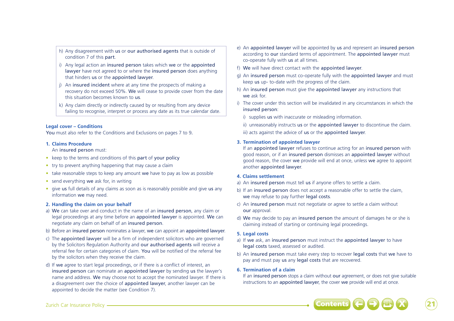- h) Any disagreement with us or our authorised agents that is outside of condition 7 of this part.
- i) Any legal action an insured person takes which we or the appointed lawyer have not agreed to or where the insured person does anything that hinders us or the appointed lawyer.
- j) An insured incident where at any time the prospects of making a recovery do not exceed 50%. We will cease to provide cover from the date this situation becomes known to us.
- k) Any claim directly or indirectly caused by or resulting from any device failing to recognise, interpret or process any date as its true calendar date.

# **Legal cover – Conditions**

You must also refer to the Conditions and Exclusions on pages 7 to 9.

## **1. Claims Procedure**

An insured person must:

- keep to the terms and conditions of this part of your policy
- try to prevent anything happening that may cause a claim
- take reasonable steps to keep any amount we have to pay as low as possible
- send everything we ask for, in writing
- give us full details of any claims as soon as is reasonably possible and give us any information we may need.

# **2. Handling the claim on your behalf**

- a) We can take over and conduct in the name of an insured person, any claim or legal proceedings at any time before an appointed lawyer is appointed. We can negotiate any claim on behalf of an insured person.
- b) Before an insured person nominates a lawyer, we can appoint an appointed lawyer.
- c) The appointed lawyer will be a firm of independent solicitors who are governed by the Solicitors Regulation Authority and our authorised agents will receive a referral fee for certain categories of claim. You will be notified of the referral fee by the solicitors when they receive the claim.
- d) If we agree to start legal proceedings, or if there is a conflict of interest, an insured person can nominate an appointed lawyer by sending us the lawyer's name and address. We may choose not to accept the nominated lawyer. If there is a disagreement over the choice of appointed lawyer, another lawyer can be appointed to decide the matter (see Condition 7).
- e) An appointed lawyer will be appointed by us and represent an insured person according to our standard terms of appointment. The appointed lawyer must co-operate fully with us at all times.
- f) We will have direct contact with the appointed lawyer.
- g) An insured person must co-operate fully with the appointed lawyer and must keep us up- to-date with the progress of the claim.
- h) An insured person must give the appointed lawyer any instructions that we ask for
- i) The cover under this section will be invalidated in any circumstances in which the insured person:
	- i) supplies us with inaccurate or misleading information.
	- ii) unreasonably instructs us or the appointed lawyer to discontinue the claim.
	- iii) acts against the advice of us or the appointed lawyer.

# **3. Termination of appointed lawyer**

If an appointed lawyer refuses to continue acting for an insured person with good reason, or if an insured person dismisses an appointed lawyer without good reason, the cover we provide will end at once, unless we agree to appoint another appointed lawyer.

# **4. Claims settlement**

- a) An insured person must tell us if anyone offers to settle a claim.
- b) If an insured person does not accept a reasonable offer to settle the claim. we may refuse to pay further legal costs.
- c) An insured person must not negotiate or agree to settle a claim without our approval.
- d) We may decide to pay an insured person the amount of damages he or she is claiming instead of starting or continuing legal proceedings.

# **5. Legal costs**

- a) If we ask, an insured person must instruct the appointed lawyer to have legal costs taxed, assessed or audited.
- b) An insured person must take every step to recover legal costs that we have to pay and must pay us any legal costs that are recovered.

# **6. Termination of a claim**

If an insured person stops a claim without our agreement, or does not give suitable instructions to an appointed lawyer, the cover we provide will end at once.

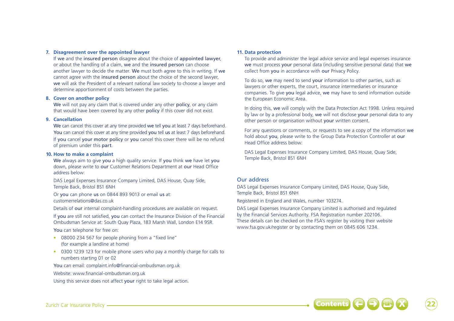#### **7. Disagreement over the appointed lawyer**

If we and the insured person disagree about the choice of appointed lawyer, or about the handling of a claim, we and the insured person can choose another lawyer to decide the matter. We must both agree to this in writing. If we cannot agree with the insured person about the choice of the second lawyer, we will ask the President of a relevant national law society to choose a lawyer and determine apportionment of costs between the parties.

#### **8. Cover on another policy**

We will not pay any claim that is covered under any other policy, or any claim that would have been covered by any other policy if this cover did not exist.

#### **9. Cancellation**

We can cancel this cover at any time provided we tell you at least 7 days beforehand. You can cancel this cover at any time provided you tell us at least 7 days beforehand. If you cancel your motor policy or you cancel this cover there will be no refund of premium under this part.

#### **10. How to make a complaint**

We always aim to give you a high quality service. If you think we have let you down, please write to our Customer Relations Department at our Head Office address below:

DAS Legal Expenses Insurance Company Limited, DAS House, Quay Side, Temple Back, Bristol BS1 6NH

Or you can phone us on 0844 893 9013 or email us at: customerrelations@das.co.uk

Details of our internal complaint-handling procedures are available on request.

If you are still not satisfied, you can contact the Insurance Division of the Financial Ombudsman Service at: South Quay Plaza, 183 Marsh Wall, London E14 9SR.

You can telephone for free on:

- 08000 234 567 for people phoning from a "fixed line" (for example a landline at home)
- 0300 1239 123 for mobile phone users who pay a monthly charge for calls to numbers starting 01 or 02

You can email: complaint.info@financial-ombudsman.org.uk

Website: www.financial-ombudsman.org.uk

Using this service does not affect your right to take legal action.

#### **11. Data protection**

To provide and administer the legal advice service and legal expenses insurance we must process your personal data (including sensitive personal data) that we collect from you in accordance with our Privacy Policy.

To do so, we may need to send your information to other parties, such as lawyers or other experts, the court, insurance intermediaries or insurance companies. To give you legal advice, we may have to send information outside the European Economic Area.

In doing this, we will comply with the Data Protection Act 1998. Unless required by law or by a professional body, we will not disclose your personal data to any other person or organisation without your written consent.

For any questions or comments, or requests to see a copy of the information we hold about you, please write to the Group Data Protection Controller at our Head Office address below:

DAS Legal Expenses Insurance Company Limited, DAS House, Quay Side, Temple Back, Bristol BS1 6NH

# Our address

DAS Legal Expenses Insurance Company Limited, DAS House, Quay Side, Temple Back, Bristol BS1 6NH

Registered in England and Wales, number 103274.

DAS Legal Expenses Insurance Company Limited is authorised and regulated by the Financial Services Authority. FSA Registration number 202106. These details can be checked on the FSA's register by visiting their website www.fsa.gov.uk/register or by contacting them on 0845 606 1234.

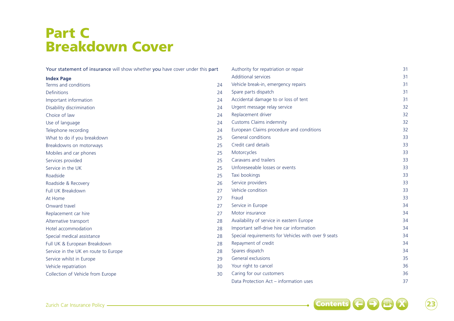# Part C Breakdown Cover

| Your statement of insurance will show whether you have cover under this part |    | Authority for repatriation or repair                | 31 |
|------------------------------------------------------------------------------|----|-----------------------------------------------------|----|
| <b>Index Page</b>                                                            |    | <b>Additional services</b>                          | 31 |
| Terms and conditions                                                         | 24 | Vehicle break-in, emergency repairs                 | 31 |
| <b>Definitions</b>                                                           | 24 | Spare parts dispatch                                | 31 |
| Important information                                                        | 24 | Accidental damage to or loss of tent                | 31 |
| Disability discrimination                                                    | 24 | Urgent message relay service                        | 32 |
| Choice of law                                                                | 24 | Replacement driver                                  | 32 |
| Use of language                                                              | 24 | <b>Customs Claims indemnity</b>                     | 32 |
| Telephone recording                                                          | 24 | European Claims procedure and conditions            | 32 |
| What to do if you breakdown                                                  | 25 | <b>General conditions</b>                           | 33 |
| Breakdowns on motorways                                                      | 25 | Credit card details                                 | 33 |
| Mobiles and car phones                                                       | 25 | Motorcycles                                         | 33 |
| Services provided                                                            | 25 | Caravans and trailers                               | 33 |
| Service in the UK                                                            | 25 | Unforeseeable losses or events                      | 33 |
| Roadside                                                                     | 25 | Taxi bookings                                       | 33 |
| Roadside & Recovery                                                          | 26 | Service providers                                   | 33 |
| Full UK Breakdown                                                            | 27 | Vehicle condition                                   | 33 |
| At Home                                                                      | 27 | Fraud                                               | 33 |
| Onward travel                                                                | 27 | Service in Europe                                   | 34 |
| Replacement car hire                                                         | 27 | Motor insurance                                     | 34 |
| Alternative transport                                                        | 28 | Availability of service in eastern Europe           | 34 |
| Hotel accommodation                                                          | 28 | Important self-drive hire car information           | 34 |
| Special medical assistance                                                   | 28 | Special requirements for Vehicles with over 9 seats | 34 |
| Full UK & European Breakdown                                                 | 28 | Repayment of credit                                 | 34 |
| Service in the UK en route to Europe                                         | 28 | Spares dispatch                                     | 34 |
| Service whilst in Europe                                                     | 29 | General exclusions                                  | 35 |
| Vehicle repatriation                                                         | 30 | Your right to cancel                                | 36 |
| Collection of Vehicle from Europe                                            | 30 | Caring for our customers                            | 36 |
|                                                                              |    | Data Protection Act - information uses              | 37 |



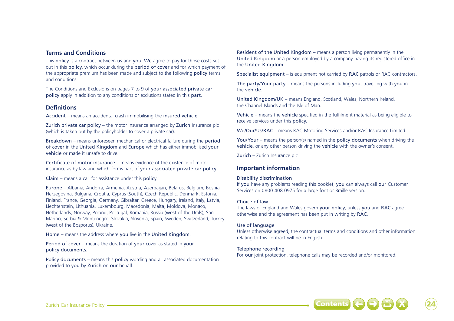# **Terms and Conditions**

This **policy** is a contract between us and you. We agree to pay for those costs set out in this policy, which occur during the period of cover and for which payment of the appropriate premium has been made and subject to the following policy terms and conditions

The Conditions and Exclusions on pages 7 to 9 of your associated private car policy apply in addition to any conditions or exclusions stated in this part.

# **Definitions**

Accident – means an accidental crash immobilising the insured vehicle

Zurich private car policy – the motor insurance arranged by Zurich Insurance plc (which is taken out by the policyholder to cover a private car).

Breakdown – means unforeseen mechanical or electrical failure during the period of cover in the United Kingdom and Europe which has either immobilised your vehicle or made it unsafe to drive.

Certificate of motor insurance – means evidence of the existence of motor insurance as by law and which forms part of your associated private car policy.

Claim – means a call for assistance under this policy.

Europe – Albania, Andorra, Armenia, Austria, Azerbaijan, Belarus, Belgium, Bosnia Herzegovina, Bulgaria, Croatia, Cyprus (South), Czech Republic, Denmark, Estonia, Finland, France, Georgia, Germany, Gibraltar, Greece, Hungary, Ireland, Italy, Latvia, Liechtenstein, Lithuania, Luxembourg, Macedonia, Malta, Moldova, Monaco, Netherlands, Norway, Poland, Portugal, Romania, Russia (west of the Urals), San Marino, Serbia & Montenegro, Slovakia, Slovenia, Spain, Sweden, Switzerland, Turkey (west of the Bosporus), Ukraine.

Home – means the address where you live in the United Kingdom.

Period of cover – means the duration of your cover as stated in your policy documents.

Policy documents – means this policy wording and all associated documentation provided to you by Zurich on our behalf.

Resident of the United Kingdom – means a person living permanently in the United Kingdom or a person employed by a company having its registered office in the United Kingdom.

Specialist equipment – is equipment not carried by RAC patrols or RAC contractors.

The party/Your party – means the persons including you, travelling with you in the vehicle.

United Kingdom/UK – means England, Scotland, Wales, Northern Ireland, the Channel Islands and the Isle of Man.

Vehicle – means the vehicle specified in the fulfilment material as being eligible to receive services under this policy.

We/Our/Us/RAC – means RAC Motoring Services and/or RAC Insurance Limited.

You/Your – means the person(s) named in the policy documents when driving the vehicle, or any other person driving the vehicle with the owner's consent.

Zurich – Zurich Insurance plc

# **Important information**

#### Disability discrimination

If you have any problems reading this booklet, you can always call our Customer Services on 0800 408 0975 for a large font or Braille version.

#### Choice of law

The laws of England and Wales govern your policy, unless you and RAC agree otherwise and the agreement has been put in writing by RAC.

## Use of language

Unless otherwise agreed, the contractual terms and conditions and other information relating to this contract will be in English.

## Telephone recording

For our joint protection, telephone calls may be recorded and/or monitored.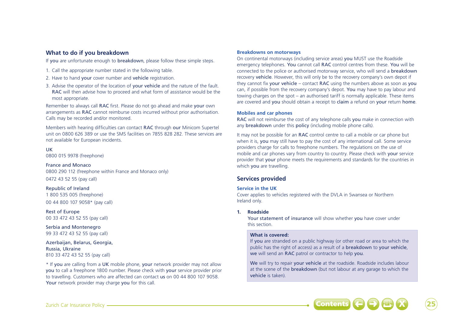# **What to do if you breakdown**

If you are unfortunate enough to breakdown, please follow these simple steps.

- 1. Call the appropriate number stated in the following table.
- 2. Have to hand **your** cover number and **vehicle** registration.
- 3. Advise the operator of the location of your vehicle and the nature of the fault. RAC will then advise how to proceed and what form of assistance would be the most appropriate.

Remember to always call RAC first. Please do not go ahead and make your own arrangements as RAC cannot reimburse costs incurred without prior authorisation. Calls may be recorded and/or monitored.

Members with hearing difficulties can contact RAC through our Minicom Supertel unit on 0800 626 389 or use the SMS facilities on 7855 828 282. These services are not available for European incidents.

### UK

0800 015 9978 (freephone)

### France and Monaco

0800 290 112 (freephone within France and Monaco only) 0472 43 52 55 (pay call)

# Republic of Ireland

1 800 535 005 (freephone) 00 44 800 107 9058\* (pay call)

Rest of Europe 00 33 472 43 52 55 (pay call)

Serbia and Montenegro 99 33 472 43 52 55 (pay call)

Azerbaijan, Belarus, Georgia, Russia, Ukraine 810 33 472 43 52 55 (pay call)

\* If you are calling from a UK mobile phone, your network provider may not allow you to call a freephone 1800 number. Please check with your service provider prior to travelling. Customers who are affected can contact us on 00 44 800 107 9058. Your network provider may charge you for this call.

#### **Breakdowns on motorways**

On continental motorways (including service areas) you MUST use the Roadside emergency telephones. You cannot call RAC control centres from these. You will be connected to the police or authorised motorway service, who will send a breakdown recovery vehicle. However, this will only be to the recovery company's own depot if they cannot fix your vehicle – contact RAC using the numbers above as soon as you can, if possible from the recovery company's depot. You may have to pay labour and towing charges on the spot – an authorised tariff is normally applicable. These items are covered and you should obtain a receipt to claim a refund on your return home.

#### **Mobiles and car phones**

RAC will not reimburse the cost of any telephone calls you make in connection with any **breakdown** under this **policy** (including mobile phone calls).

It may not be possible for an RAC control centre to call a mobile or car phone but when it is, you may still have to pay the cost of any international call. Some service providers charge for calls to freephone numbers. The regulations on the use of mobile and car phones vary from country to country. Please check with your service provider that your phone meets the requirements and standards for the countries in which you are travelling.

# **Services provided**

#### **Service in the UK**

Cover applies to vehicles registered with the DVLA in Swansea or Northern Ireland only.

#### **1. Roadside**

Your statement of insurance will show whether you have cover under this section.

### **What is covered:**

If you are stranded on a public highway (or other road or area to which the public has the right of access) as a result of a breakdown to your vehicle, we will send an RAC patrol or contractor to help you.

We will try to repair your vehicle at the roadside. Roadside includes labour at the scene of the breakdown (but not labour at any garage to which the vehicle is taken).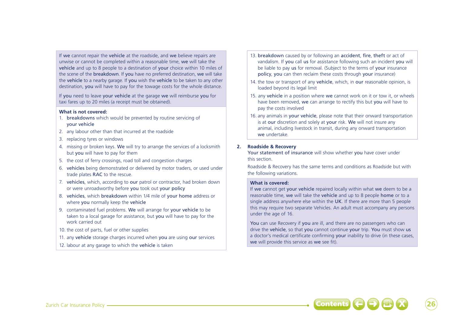If we cannot repair the vehicle at the roadside, and we believe repairs are unwise or cannot be completed within a reasonable time, we will take the vehicle and up to 8 people to a destination of your choice within 10 miles of the scene of the breakdown. If you have no preferred destination, we will take the vehicle to a nearby garage. If you wish the vehicle to be taken to any other destination, you will have to pay for the towage costs for the whole distance.

If you need to leave your vehicle at the garage we will reimburse you for taxi fares up to 20 miles (a receipt must be obtained).

### **What is not covered:**

- 1. breakdowns which would be prevented by routine servicing of your vehicle
- 2. any labour other than that incurred at the roadside
- 3. replacing tyres or windows
- 4. missing or broken keys. We will try to arrange the services of a locksmith but you will have to pay for them
- 5. the cost of ferry crossings, road toll and congestion charges
- 6. vehicles being demonstrated or delivered by motor traders, or used under trade plates RAC to the rescue.
- 7. vehicles, which, according to our patrol or contractor, had broken down or were unroadworthy before you took out your policy
- 8. vehicles, which breakdown within 1/4 mile of your home address or where you normally keep the vehicle
- 9. contaminated fuel problems. We will arrange for your vehicle to be taken to a local garage for assistance, but you will have to pay for the work carried out
- 10. the cost of parts, fuel or other supplies
- 11. any vehicle storage charges incurred when you are using our services
- 12. labour at any garage to which the vehicle is taken
- 13. breakdown caused by or following an accident, fire, theft or act of vandalism. If you call us for assistance following such an incident you will be liable to pay us for removal. (Subject to the terms of your insurance policy, you can then reclaim these costs through your insurance)
- 14. the tow or transport of any vehicle, which, in our reasonable opinion, is loaded beyond its legal limit
- 15. any vehicle in a position where we cannot work on it or tow it, or wheels have been removed, we can arrange to rectify this but you will have to pay the costs involved
- 16. any animals in your vehicle, please note that their onward transportation is at our discretion and solely at your risk. We will not insure any animal, including livestock in transit, during any onward transportation we undertake.

# **2. Roadside & Recovery**

Your statement of insurance will show whether you have cover under this section.

Roadside & Recovery has the same terms and conditions as Roadside but with the following variations.

## **What is covered:**

If we cannot get your vehicle repaired locally within what we deem to be a reasonable time, we will take the vehicle and up to 8 people home or to a single address anywhere else within the UK. If there are more than 5 people this may require two separate Vehicles. An adult must accompany any persons under the age of 16.

You can use Recovery if you are ill, and there are no passengers who can drive the vehicle, so that you cannot continue your trip. You must show us a doctor's medical certificate confirming your inability to drive (in these cases, we will provide this service as we see fit).

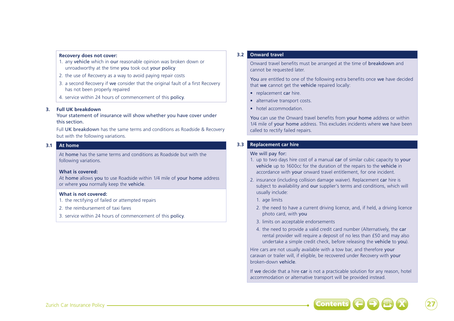#### **Recovery does not cover:**

- 1. any vehicle which in our reasonable opinion was broken down or unroadworthy at the time you took out your policy
- 2. the use of Recovery as a way to avoid paying repair costs
- 3. a second Recovery if we consider that the original fault of a first Recovery has not been properly repaired
- 4. service within 24 hours of commencement of this policy.

#### **3. Full UK breakdown**

Your statement of insurance will show whether you have cover under this section.

Full UK breakdown has the same terms and conditions as Roadside & Recovery but with the following variations.

### **3.1 At home**

At home has the same terms and conditions as Roadside but with the following variations.

#### **What is covered:**

At home allows you to use Roadside within 1/4 mile of your home address or where you normally keep the vehicle.

#### **What is not covered:**

- 1. the rectifying of failed or attempted repairs
- 2. the reimbursement of taxi fares
- 3. service within 24 hours of commencement of this policy.

#### **3.2 Onward travel**

Onward travel benefits must be arranged at the time of breakdown and cannot be requested later.

You are entitled to one of the following extra benefits once we have decided that we cannot get the vehicle repaired locally:

- replacement car hire
- alternative transport costs.
- hotel accommodation.

You can use the Onward travel benefits from your home address or within 1/4 mile of your home address. This excludes incidents where we have been called to rectify failed repairs.

# **3.3 Replacement car hire**

#### We will pay for:

- 1. up to two days hire cost of a manual car of similar cubic capacity to your vehicle up to 1600cc for the duration of the repairs to the vehicle in accordance with your onward travel entitlement, for one incident.
- 2. insurance (including collision damage waiver). Replacement car hire is subject to availability and our supplier's terms and conditions, which will usually include:
	- 1. age limits
	- 2. the need to have a current driving licence, and, if held, a driving licence photo card, with you
	- 3. limits on acceptable endorsements
	- 4. the need to provide a valid credit card number (Alternatively, the car rental provider will require a deposit of no less than £50 and may also undertake a simple credit check, before releasing the vehicle to you).

Hire cars are not usually available with a tow bar, and therefore your caravan or trailer will, if eligible, be recovered under Recovery with your broken-down vehicle.

If we decide that a hire car is not a practicable solution for any reason, hotel accommodation or alternative transport will be provided instead.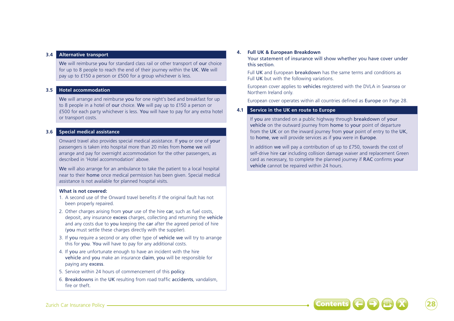#### **3.4 Alternative transport**

We will reimburse you for standard class rail or other transport of our choice for up to 8 people to reach the end of their journey within the UK. We will pay up to £150 a person or £500 for a group whichever is less.

# **3.5 Hotel accommodation**

We will arrange and reimburse you for one night's bed and breakfast for up to 8 people in a hotel of our choice. We will pay up to £150 a person or £500 for each party whichever is less. You will have to pay for any extra hotel or transport costs.

# **3.6 Special medical assistance**

Onward travel also provides special medical assistance. If you or one of your passengers is taken into hospital more than 20 miles from home we will arrange and pay for overnight accommodation for the other passengers, as described in 'Hotel accommodation' above.

We will also arrange for an ambulance to take the patient to a local hospital near to their home once medical permission has been given. Special medical assistance is not available for planned hospital visits.

#### **What is not covered:**

- 1. A second use of the Onward travel benefits if the original fault has not been properly repaired.
- 2. Other charges arising from your use of the hire car, such as fuel costs, deposit, any insurance excess charges, collecting and returning the vehicle and any costs due to you keeping the car after the agreed period of hire (you must settle these charges directly with the supplier).
- 3. If you require a second or any other type of vehicle we will try to arrange this for you. You will have to pay for any additional costs.
- 4. If you are unfortunate enough to have an incident with the hire vehicle and you make an insurance claim, you will be responsible for paying any excess.
- 5. Service within 24 hours of commencement of this policy.
- 6. Breakdowns in the UK resulting from road traffic accidents, vandalism, fire or theft.

### **4. Full UK & European Breakdown**

Your statement of insurance will show whether you have cover under this section.

Full UK and European breakdown has the same terms and conditions as Full UK but with the following variations.

European cover applies to vehicles registered with the DVLA in Swansea or Northern Ireland only.

European cover operates within all countries defined as Europe on Page 28.

### **4.1 Service in the UK en route to Europe**

If you are stranded on a public highway through breakdown of your vehicle on the outward journey from home to your point of departure from the UK or on the inward journey from your point of entry to the UK, to home, we will provide services as if you were in Europe.

In addition we will pay a contribution of up to £750, towards the cost of self-drive hire car including collision damage waiver and replacement Green card as necessary, to complete the planned journey if RAC confirms your vehicle cannot be repaired within 24 hours.

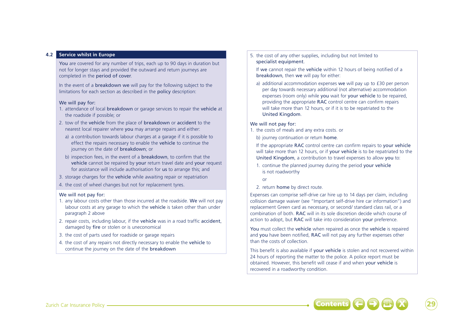# **4.2 Service whilst in Europe**

You are covered for any number of trips, each up to 90 days in duration but not for longer stays and provided the outward and return journeys are completed in the period of cover.

In the event of a breakdown we will pay for the following subject to the limitations for each section as described in the policy description:

### We will pay for:

- 1. attendance of local breakdown or garage services to repair the vehicle at the roadside if possible; or
- 2. tow of the vehicle from the place of breakdown or accident to the nearest local repairer where you may arrange repairs and either:
- a) a contribution towards labour charges at a garage if it is possible to effect the repairs necessary to enable the vehicle to continue the journey on the date of breakdown; or
- b) inspection fees, in the event of a breakdown, to confirm that the vehicle cannot be repaired by your return travel date and your request for assistance will include authorisation for us to arrange this; and
- 3. storage charges for the vehicle while awaiting repair or repatriation
- 4. the cost of wheel changes but not for replacement tyres.

## We will not pay for:

- 1. any labour costs other than those incurred at the roadside. We will not pay labour costs at any garage to which the vehicle is taken other than under paragraph 2 above
- 2. repair costs, including labour, if the vehicle was in a road traffic accident, damaged by fire or stolen or is uneconomical
- 3. the cost of parts used for roadside or garage repairs
- 4. the cost of any repairs not directly necessary to enable the vehicle to continue the journey on the date of the breakdown

5. the cost of any other supplies, including but not limited to specialist equipment.

If we cannot repair the vehicle within 12 hours of being notified of a breakdown, then we will pay for either:

a) additional accommodation expenses we will pay up to £30 per person per day towards necessary additional (not alternative) accommodation expenses (room only) while you wait for your vehicle to be repaired. providing the appropriate RAC control centre can confirm repairs will take more than 12 hours, or if it is to be repatriated to the United Kingdom.

# We will not pay for:

1. the costs of meals and any extra costs. or

b) journey continuation or return home.

If the appropriate RAC control centre can confirm repairs to your vehicle will take more than 12 hours, or if your vehicle is to be repatriated to the United Kingdom, a contribution to travel expenses to allow you to:

- 1. continue the planned journey during the period your vehicle is not roadworthy
	- or

2. return home by direct route.

Expenses can comprise self-drive car hire up to 14 days per claim, including collision damage waiver (see "Important self-drive hire car information") and replacement Green card as necessary, or second/ standard class rail, or a combination of both. RAC will in its sole discretion decide which course of action to adopt, but RAC will take into consideration your preference.

You must collect the vehicle when repaired as once the vehicle is repaired and you have been notified, RAC will not pay any further expenses other than the costs of collection.

This benefit is also available if your vehicle is stolen and not recovered within 24 hours of reporting the matter to the police. A police report must be obtained. However, this benefit will cease if and when your vehicle is recovered in a roadworthy condition.

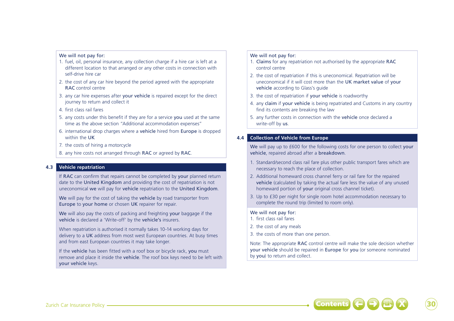#### We will not pay for:

- 1. fuel, oil, personal insurance, any collection charge if a hire car is left at a different location to that arranged or any other costs in connection with self-drive hire car
- 2. the cost of any car hire beyond the period agreed with the appropriate RAC control centre
- 3. any car hire expenses after your vehicle is repaired except for the direct journey to return and collect it
- 4. first class rail fares
- 5. any costs under this benefit if they are for a service you used at the same time as the above section "Additional accommodation expenses"
- 6. international drop charges where a vehicle hired from Europe is dropped within the UK
- 7. the costs of hiring a motorcycle
- 8. any hire costs not arranged through RAC or agreed by RAC.

# **4.3 Vehicle repatriation**

If RAC can confirm that repairs cannot be completed by your planned return date to the United Kingdom and providing the cost of repatriation is not uneconomical we will pay for vehicle repatriation to the United Kingdom.

We will pay for the cost of taking the vehicle by road transporter from Europe to your home or chosen UK repairer for repair.

We will also pay the costs of packing and freighting your baggage if the vehicle is declared a 'Write-off' by the vehicle's insurers.

When repatriation is authorised it normally takes 10-14 working days for delivery to a UK address from most west European countries. At busy times and from east European countries it may take longer.

If the vehicle has been fitted with a roof box or bicycle rack, you must remove and place it inside the vehicle. The roof box keys need to be left with your vehicle keys.

### We will not pay for:

- 1. Claims for any repatriation not authorised by the appropriate RAC control centre
- 2. the cost of repatriation if this is uneconomical. Repatriation will be uneconomical if it will cost more than the UK market value of your vehicle according to Glass's guide
- 3. the cost of repatriation if your vehicle is roadworthy
- 4. any claim if your vehicle is being repatriated and Customs in any country find its contents are breaking the law
- 5. any further costs in connection with the vehicle once declared a write-off by us.

# **4.4 Collection of Vehicle from Europe**

We will pay up to £600 for the following costs for one person to collect your vehicle, repaired abroad after a breakdown.

- 1. Standard/second class rail fare plus other public transport fares which are necessary to reach the place of collection.
- 2. Additional homeward cross channel ferry or rail fare for the repaired vehicle (calculated by taking the actual fare less the value of any unused homeward portion of your original cross channel ticket).
- 3. Up to £30 per night for single room hotel accommodation necessary to complete the round trip (limited to room only).

## We will not pay for:

- 1. first class rail fares
- 2. the cost of any meals
- 3. the costs of more than one person.

Note: The appropriate RAC control centre will make the sole decision whether your vehicle should be repaired in Europe for you (or someone nominated by you) to return and collect.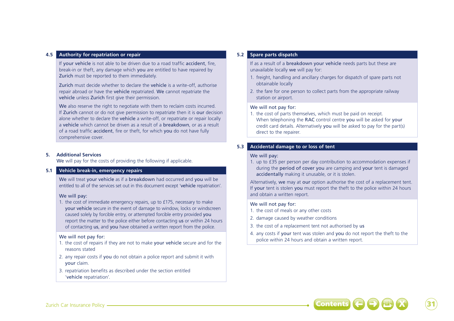### **4.5 Authority for repatriation or repair**

If your vehicle is not able to be driven due to a road traffic accident, fire, break-in or theft, any damage which you are entitled to have repaired by Zurich must be reported to them immediately.

Zurich must decide whether to declare the vehicle is a write-off, authorise repair abroad or have the vehicle repatriated. We cannot repatriate the vehicle unless Zurich first give their permission.

We also reserve the right to negotiate with them to reclaim costs incurred. If Zurich cannot or do not give permission to repatriate then it is our decision alone whether to declare the vehicle a write-off, or repatriate or repair locally a vehicle which cannot be driven as a result of a breakdown, or as a result of a road traffic accident, fire or theft, for which you do not have fully comprehensive cover.

### **5. Additional Services**

We will pay for the costs of providing the following if applicable.

# **5.1 Vehicle break-in, emergency repairs**

We will treat your vehicle as if a breakdown had occurred and you will be entitled to all of the services set out in this document except 'vehicle repatriation'.

#### We will pay:

1. the cost of immediate emergency repairs, up to £175, necessary to make your vehicle secure in the event of damage to window, locks or windscreen caused solely by forcible entry, or attempted forcible entry provided you report the matter to the police either before contacting us or within 24 hours of contacting us, and you have obtained a written report from the police.

#### We will not pay for:

- 1. the cost of repairs if they are not to make your vehicle secure and for the reasons stated
- 2. any repair costs if you do not obtain a police report and submit it with your claim.
- 3. repatriation benefits as described under the section entitled 'vehicle repatriation'.

# **5.2 Spare parts dispatch**

If as a result of a breakdown your vehicle needs parts but these are unavailable locally we will pay for:

- 1. freight, handling and ancillary charges for dispatch of spare parts not obtainable locally
- 2. the fare for one person to collect parts from the appropriate railway station or airport.

#### We will not pay for:

1. the cost of parts themselves, which must be paid on receipt. When telephoning the RAC control centre you will be asked for your credit card details. Alternatively you will be asked to pay for the part(s) direct to the repairer.

# **5.3 Accidental damage to or loss of tent**

#### We will pay:

1. up to £35 per person per day contribution to accommodation expenses if during the period of cover you are camping and your tent is damaged accidentally making it unusable, or it is stolen.

Alternatively, we may at our option authorise the cost of a replacement tent. If your tent is stolen you must report the theft to the police within 24 hours and obtain a written report.

### We will not pay for:

- 1. the cost of meals or any other costs
- 2. damage caused by weather conditions
- 3. the cost of a replacement tent not authorised by us
- 4. any costs if your tent was stolen and you do not report the theft to the police within 24 hours and obtain a written report.

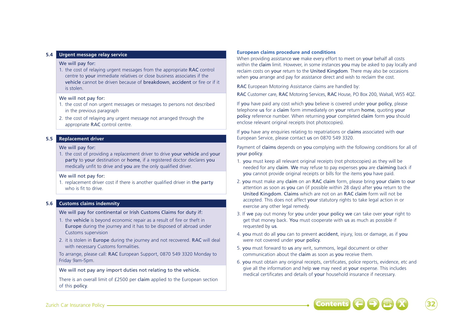# **5.4 Urgent message relay service**

#### We will pay for:

1. the cost of relaying urgent messages from the appropriate RAC control centre to your immediate relatives or close business associates if the vehicle cannot be driven because of breakdown, accident or fire or if it is stolen.

#### We will not pay for:

- 1. the cost of non urgent messages or messages to persons not described in the previous paragraph
- 2. the cost of relaying any urgent message not arranged through the appropriate RAC control centre.

# **5.5 Replacement driver**

#### We will pay for:

1. the cost of providing a replacement driver to drive your vehicle and your party to your destination or home, if a registered doctor declares you medically unfit to drive and you are the only qualified driver.

### We will not pay for:

1. replacement driver cost if there is another qualified driver in the party who is fit to drive

# **5.6 Customs claims indemnity**

We will pay for continental or Irish Customs Claims for duty if:

- 1. the vehicle is beyond economic repair as a result of fire or theft in Europe during the journey and it has to be disposed of abroad under Customs supervision
- 2. it is stolen in Europe during the journey and not recovered. RAC will deal with necessary Customs formalities.

To arrange, please call: RAC European Support, 0870 549 3320 Monday to Friday 9am-5pm.

We will not pay any import duties not relating to the vehicle.

There is an overall limit of £2500 per claim applied to the European section of this policy.

### **European claims procedure and conditions**

When providing assistance we make every effort to meet on your behalf all costs within the claim limit. However, in some instances you may be asked to pay locally and reclaim costs on your return to the United Kingdom. There may also be occasions when you arrange and pay for assistance direct and wish to reclaim the cost.

RAC European Motoring Assistance claims are handled by:

RAC Customer care, RAC Motoring Services, RAC House, PO Box 200, Walsall, WS5 4QZ.

If you have paid any cost which you believe is covered under your policy, please telephone us for a claim form immediately on your return home, quoting your policy reference number. When returning your completed claim form you should enclose relevant original receipts (not photocopies).

If you have any enquiries relating to repatriations or claims associated with our European Service, please contact us on 0870 549 3320.

Payment of claims depends on you complying with the following conditions for all of your policy.

- 1. you must keep all relevant original receipts (not photocopies) as they will be needed for any claim. We may refuse to pay expenses you are claiming back if you cannot provide original receipts or bills for the items you have paid.
- 2. you must make any claim on an RAC claim form, please bring your claim to our attention as soon as you can (if possible within 28 days) after you return to the United Kingdom. Claims which are not on an RAC claim form will not be accepted. This does not affect your statutory rights to take legal action in or exercise any other legal remedy.
- 3. If we pay out money for you under your policy we can take over your right to get that money back. You must cooperate with us as much as possible if requested by us.
- 4. you must do all you can to prevent accident, injury, loss or damage, as if you were not covered under your policy.
- 5. you must forward to us any writ, summons, legal document or other communication about the claim as soon as you receive them.
- 6. you must obtain any original receipts, certificates, police reports, evidence, etc and give all the information and help we may need at your expense. This includes medical certificates and details of your household insurance if necessary.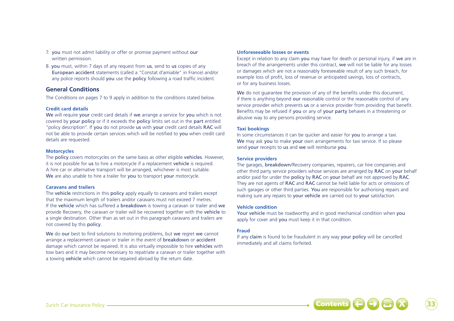- 7. you must not admit liability or offer or promise payment without our written permission.
- 8. you must, within 7 days of any request from us, send to us copies of any European accident statements (called a "Constat d'amiable" in France) and/or any police reports should you use the policy following a road traffic incident.

# **General Conditions**

The Conditions on pages 7 to 9 apply in addition to the conditions stated below.

# **Credit card details**

We will require your credit card details if we arrange a service for you which is not covered by your policy or if it exceeds the policy limits set out in the part entitled "policy description". If you do not provide us with your credit card details RAC will not be able to provide certain services which will be notified to you when credit card details are requested.

# **Motorcycles**

The policy covers motorcycles on the same basis as other eligible vehicles. However, it is not possible for us to hire a motorcycle if a replacement vehicle is required. A hire car or alternative transport will be arranged, whichever is most suitable. We are also unable to hire a trailer for you to transport your motorcycle.

# **Caravans and trailers**

The vehicle restrictions in this policy apply equally to caravans and trailers except that the maximum length of trailers and/or caravans must not exceed 7 metres. If the vehicle which has suffered a breakdown is towing a caravan or trailer and we provide Recovery, the caravan or trailer will be recovered together with the vehicle to a single destination. Other than as set out in this paragraph caravans and trailers are not covered by this policy.

We do our best to find solutions to motoring problems, but we regret we cannot arrange a replacement caravan or trailer in the event of breakdown or accident damage which cannot be repaired. It is also virtually impossible to hire vehicles with tow bars and it may become necessary to repatriate a caravan or trailer together with a towing vehicle which cannot be repaired abroad by the return date.

### **Unforeseeable losses or events**

Except in relation to any claim you may have for death or personal injury, if we are in breach of the arrangements under this contract, we will not be liable for any losses or damages which are not a reasonably foreseeable result of any such breach, for example loss of profit, loss of revenue or anticipated savings, loss of contracts, or for any business losses.

We do not guarantee the provision of any of the benefits under this document. if there is anything beyond our reasonable control or the reasonable control of any service provider which prevents us or a service provider from providing that benefit. Benefits may be refused if you or any of your party behaves in a threatening or abusive way to any persons providing service.

# **Taxi bookings**

In some circumstances it can be quicker and easier for you to arrange a taxi. We may ask you to make your own arrangements for taxi service. If so please send your receipts to us and we will reimburse you.

# **Service providers**

The garages, breakdown/Recovery companies, repairers, car hire companies and other third party service providers whose services are arranged by RAC on your behalf and/or paid for under the policy by RAC on your behalf are not approved by RAC. They are not agents of RAC and RAC cannot be held liable for acts or omissions of such garages or other third parties. You are responsible for authorising repairs and making sure any repairs to your vehicle are carried out to your satisfaction.

## **Vehicle condition**

Your vehicle must be roadworthy and in good mechanical condition when you apply for cover and **you** must keep it in that condition.

# **Fraud**

If any claim is found to be fraudulent in any way your policy will be cancelled immediately and all claims forfeited.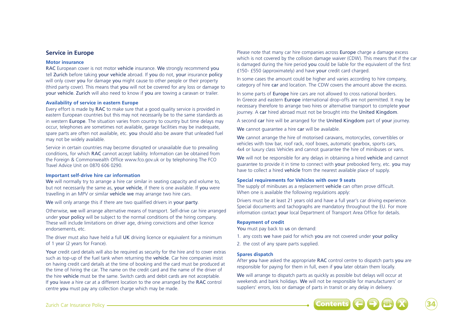## **Service in Europe**

#### **Motor insurance**

RAC European cover is not motor vehicle insurance. We strongly recommend you tell Zurich before taking your vehicle abroad. If you do not, your insurance policy will only cover you for damage you might cause to other people or their property (third party cover). This means that you will not be covered for any loss or damage to your vehicle. Zurich will also need to know if you are towing a caravan or trailer.

#### **Availability of service in eastern Europe**

Every effort is made by RAC to make sure that a good quality service is provided in eastern European countries but this may not necessarily be to the same standards as in western Europe. The situation varies from country to country but time delays may occur, telephones are sometimes not available, garage facilities may be inadequate, spare parts are often not available, etc. you should also be aware that unleaded fuel may not be widely available.

Service in certain countries may become disrupted or unavailable due to prevailing conditions, for which RAC cannot accept liability. Information can be obtained from the Foreign & Commonwealth Office www.fco.gov.uk or by telephoning The FCO Travel Advice Unit on 0870 606 0290.

#### **Important self-drive hire car information**

We will normally try to arrange a hire car similar in seating capacity and volume to. but not necessarily the same as, your vehicle, if there is one available. If you were travelling in an MPV or similar vehicle we may arrange two hire cars.

We will only arrange this if there are two qualified drivers in your party.

Otherwise, we will arrange alternative means of transport. Self-drive car hire arranged under your policy will be subject to the normal conditions of the hiring company. These will include limitations on driver age, driving convictions and other licence endorsements, etc.

The driver must also have held a full UK driving licence or equivalent for a minimum of 1 year (2 years for France).

Your credit card details will also be required as security for the hire and to cover extras such as top-up of the fuel tank when returning the vehicle. Car hire companies insist on having credit card details at the time of booking and the card must be produced at the time of hiring the car. The name on the credit card and the name of the driver of the hire vehicle must be the same. Switch cards and debit cards are not acceptable. If you leave a hire car at a different location to the one arranged by the RAC control centre you must pay any collection charge which may be made.

Please note that many car hire companies across Europe charge a damage excess which is not covered by the collision damage waiver (CDW). This means that if the car is damaged during the hire period you could be liable for the equivalent of the first £150- £550 (approximately) and have your credit card charged.

In some cases the amount could be higher and varies according to hire company, category of hire car and location. The CDW covers the amount above the excess.

In some parts of Europe hire cars are not allowed to cross national borders. In Greece and eastern Europe international drop-offs are not permitted. It may be necessary therefore to arrange two hires or alternative transport to complete your journey. A car hired abroad must not be brought into the United Kingdom.

A second car hire will be arranged for the United Kingdom part of your journey.

We cannot guarantee a hire car will be available.

We cannot arrange the hire of motorised caravans, motorcycles, convertibles or vehicles with tow bar, roof rack, roof boxes, automatic gearbox, sports cars, 4x4 or luxury class Vehicles and cannot guarantee the hire of minibuses or vans.

We will not be responsible for any delays in obtaining a hired vehicle and cannot guarantee to provide it in time to connect with your prebooked ferry, etc. you may have to collect a hired vehicle from the nearest available place of supply.

#### **Special requirements for Vehicles with over 9 seats**

The supply of minibuses as a replacement vehicle can often prove difficult. When one is available the following regulations apply:

Drivers must be at least 21 years old and have a full year's car driving experience. Special documents and tachographs are mandatory throughout the EU. For more information contact your local Department of Transport Area Office for details.

## **Repayment of credit**

You must pay back to us on demand:

- 1. any costs we have paid for which you are not covered under your policy
- 2. the cost of any spare parts supplied.

## **Spares dispatch**

After you have asked the appropriate RAC control centre to dispatch parts you are responsible for paying for them in full, even if you later obtain them locally.

We will arrange to dispatch parts as quickly as possible but delays will occur at weekends and bank holidays. We will not be responsible for manufacturers' or suppliers' errors, loss or damage of parts in transit or any delay in delivery.



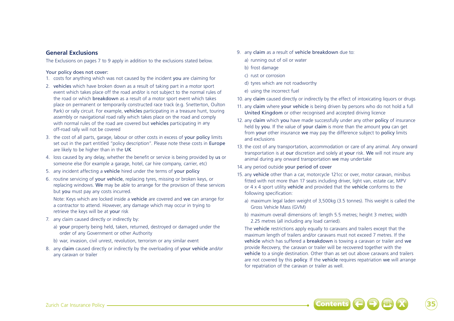# **General Exclusions**

The Exclusions on pages 7 to 9 apply in addition to the exclusions stated below.

## Your policy does not cover:

- 1. costs for anything which was not caused by the incident you are claiming for
- 2. vehicles which have broken down as a result of taking part in a motor sport event which takes place off the road and/or is not subject to the normal rules of the road or which breakdown as a result of a motor sport event which takes place on permanent or temporarily constructed race track (e.g. Snetterton, Oulton Park) or rally circuit. For example, vehicles participating in a treasure hunt, touring assembly or navigational road rally which takes place on the road and comply with normal rules of the road are covered but vehicles participating in any off-road rally will not be covered
- 3. the cost of all parts, garage, labour or other costs in excess of your policy limits set out in the part entitled "policy description". Please note these costs in Europe are likely to be higher than in the UK
- 4. loss caused by any delay, whether the benefit or service is being provided by us or someone else (for example a garage, hotel, car hire company, carrier, etc)
- 5. any incident affecting a vehicle hired under the terms of your policy
- 6. routine servicing of your vehicle, replacing tyres, missing or broken keys, or replacing windows. We may be able to arrange for the provision of these services but you must pay any costs incurred.

Note: Keys which are locked inside a vehicle are covered and we can arrange for a contractor to attend. However, any damage which may occur in trying to retrieve the keys will be at your risk

- 7. any claim caused directly or indirectly by:
	- a) your property being held, taken, returned, destroyed or damaged under the order of any Government or other Authority
	- b) war, invasion, civil unrest, revolution, terrorism or any similar event
- 8. any claim caused directly or indirectly by the overloading of your vehicle and/or any caravan or trailer
- 9. any claim as a result of vehicle breakdown due to:
	- a) running out of oil or water
	- b) frost damage
	- c) rust or corrosion
	- d) tyres which are not roadworthy
	- e) using the incorrect fuel
- 10. any claim caused directly or indirectly by the effect of intoxicating liquors or drugs
- 11. any claim where your vehicle is being driven by persons who do not hold a full United Kingdom or other recognised and accepted driving licence
- 12. any claim which you have made successfully under any other policy of insurance held by you. If the value of your claim is more than the amount you can get from your other insurance we may pay the difference subject to policy limits and exclusions
- 13. the cost of any transportation, accommodation or care of any animal. Any onward transportation is at our discretion and solely at your risk. We will not insure any animal during any onward transportation we may undertake
- 14. any period outside your period of cover
- 15. any vehicle other than a car, motorcycle 121cc or over, motor caravan, minibus fitted with not more than 17 seats including driver, light van, estate car, MPV or 4 x 4 sport utility vehicle and provided that the vehicle conforms to the following specification:
	- a) maximum legal laden weight of 3,500kg (3.5 tonnes). This weight is called the Gross Vehicle Mass (GVM)
	- b) maximum overall dimensions of: length 5.5 metres; height 3 metres; width 2.25 metres (all including any load carried).

The vehicle restrictions apply equally to caravans and trailers except that the maximum length of trailers and/or caravans must not exceed 7 metres. If the vehicle which has suffered a breakdown is towing a caravan or trailer and we provide Recovery, the caravan or trailer will be recovered together with the vehicle to a single destination. Other than as set out above caravans and trailers are not covered by this policy. If the vehicle requires repatriation we will arrange for repatriation of the caravan or trailer as well.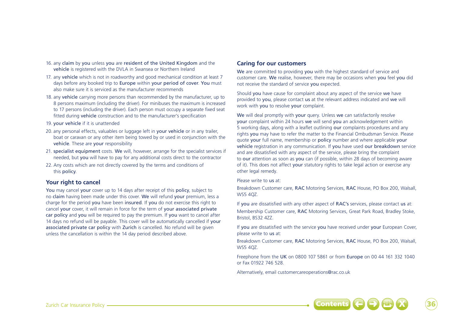- 16. any claim by you unless you are resident of the United Kingdom and the vehicle is registered with the DVLA in Swansea or Northern Ireland
- 17. any vehicle which is not in roadworthy and good mechanical condition at least 7 days before any booked trip to Europe within your period of cover. You must also make sure it is serviced as the manufacturer recommends
- 18. any vehicle carrying more persons than recommended by the manufacturer, up to 8 persons maximum (including the driver). For minibuses the maximum is increased to 17 persons (including the driver). Each person must occupy a separate fixed seat fitted during vehicle construction and to the manufacturer's specification
- 19. your vehicle if it is unattended
- 20. any personal effects, valuables or luggage left in your vehicle or in any trailer, boat or caravan or any other item being towed by or used in conjunction with the vehicle. These are your responsibility
- 21. specialist equipment costs. We will, however, arrange for the specialist services if needed, but you will have to pay for any additional costs direct to the contractor
- 22. Any costs which are not directly covered by the terms and conditions of this policy.

# **Your right to cancel**

You may cancel your cover up to 14 days after receipt of this policy, subject to no claim having been made under this cover. We will refund your premium, less a charge for the period you have been insured. If you do not exercise this right to cancel your cover, it will remain in force for the term of your associated private car policy and you will be required to pay the premium. If you want to cancel after 14 days no refund will be payable. This cover will be automatically cancelled if your associated private car policy with Zurich is cancelled. No refund will be given unless the cancellation is within the 14 day period described above.

# **Caring for our customers**

We are committed to providing you with the highest standard of service and customer care. We realise, however, there may be occasions when you feel you did not receive the standard of service you expected.

Should you have cause for complaint about any aspect of the service we have provided to you, please contact us at the relevant address indicated and we will work with you to resolve your complaint.

We will deal promptly with your query. Unless we can satisfactorily resolve your complaint within 24 hours we will send you an acknowledgement within 5 working days, along with a leaflet outlining our complaints procedures and any rights you may have to refer the matter to the Financial Ombudsman Service. Please quote your full name, membership or policy number and where applicable your vehicle registration in any communication. If you have used our breakdown service and are dissatisfied with any aspect of the service, please bring the complaint to our attention as soon as you can (if possible, within 28 days of becoming aware of it). This does not affect your statutory rights to take legal action or exercise any other legal remedy.

#### Please write to us at:

Breakdown Customer care, RAC Motoring Services, RAC House, PO Box 200, Walsall, WS5 407

If you are dissatisfied with any other aspect of RAC's services, please contact us at:

Membership Customer care, RAC Motoring Services, Great Park Road, Bradley Stoke, Bristol, BS32 4ZZ.

If you are dissatisfied with the service you have received under your European Cover, please write to us at:

Breakdown Customer care, RAC Motoring Services, RAC House, PO Box 200, Walsall, WS5 4QZ.

Freephone from the UK on 0800 107 5861 or from Europe on 00 44 161 332 1040 or Fax 01922 746 528.

Alternatively, email customercareoperations@rac.co.uk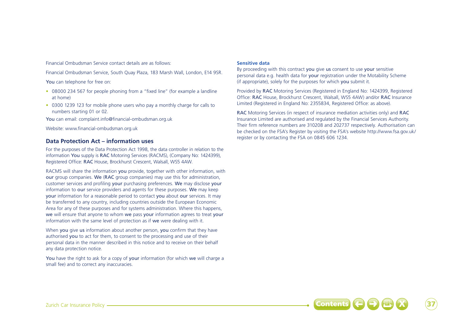Financial Ombudsman Service contact details are as follows:

Financial Ombudsman Service, South Quay Plaza, 183 Marsh Wall, London, E14 9SR.

You can telephone for free on:

- 08000 234 567 for people phoning from a "fixed line" (for example a landline at home)
- 0300 1239 123 for mobile phone users who pay a monthly charge for calls to numbers starting 01 or 02.

You can email: complaint.info@financial-ombudsman.org.uk

Website: www.financial-ombudsman.org.uk

# **Data Protection Act – information uses**

For the purposes of the Data Protection Act 1998, the data controller in relation to the information You supply is RAC Motoring Services (RACMS), (Company No: 1424399), Registered Office: RAC House, Brockhurst Crescent, Walsall, WS5 4AW.

RACMS will share the information you provide, together with other information, with our group companies. We (RAC group companies) may use this for administration, customer services and profiling your purchasing preferences. We may disclose your information to our service providers and agents for these purposes. We may keep your information for a reasonable period to contact you about our services. It may be transferred to any country, including countries outside the European Economic Area for any of these purposes and for systems administration. Where this happens, we will ensure that anyone to whom we pass your information agrees to treat your information with the same level of protection as if we were dealing with it.

When you give us information about another person, you confirm that they have authorised you to act for them, to consent to the processing and use of their personal data in the manner described in this notice and to receive on their behalf any data protection notice.

You have the right to ask for a copy of your information (for which we will charge a small fee) and to correct any inaccuracies.

## **Sensitive data**

By proceeding with this contract you give us consent to use your sensitive personal data e.g. health data for your registration under the Motability Scheme (if appropriate), solely for the purposes for which you submit it.

Provided by RAC Motoring Services (Registered in England No: 1424399, Registered Office: RAC House, Brockhurst Crescent, Walsall, WS5 4AW) and/or RAC Insurance Limited (Registered in England No: 2355834, Registered Office: as above).

RAC Motoring Services (in respect of insurance mediation activities only) and RAC Insurance Limited are authorised and regulated by the Financial Services Authority. Their firm reference numbers are 310208 and 202737 respectively. Authorisation can be checked on the FSA's Register by visiting the FSA's website http://www.fsa.gov.uk/ register or by contacting the FSA on 0845 606 1234.

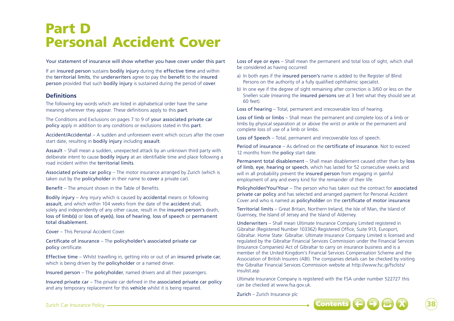# Part D Personal Accident Cover

Your statement of insurance will show whether you have cover under this part

If an insured person sustains bodily injury during the effective time and within the territorial limits, the underwriters agree to pay the benefit to the insured person provided that such bodily injury is sustained during the period of cover.

# **Definitions**

The following key words which are listed in alphabetical order have the same meaning wherever they appear. These definitions apply to this part.

The Conditions and Exclusions on pages 7 to 9 of your associated private car policy apply in addition to any conditions or exclusions stated in this part.

Accident/Accidental – A sudden and unforeseen event which occurs after the cover start date, resulting in bodily injury including assault.

Assault – Shall mean a sudden, unexpected attack by an unknown third party with deliberate intent to cause bodily injury at an identifiable time and place following a road incident within the territorial limits.

Associated private car policy – The motor insurance arranged by Zurich (which is taken out by the policyholder in their name to cover a private car).

Benefit – The amount shown in the Table of Benefits.

Bodily injury – Any injury which is caused by accidental means or following assault, and which within 104 weeks from the date of the accident shall solely and independently of any other cause, result in the insured person's death, loss of limb(s) or loss of eye(s), loss of hearing, loss of speech or permanent total disablement.

Cover – This Personal Accident Cover.

Certificate of insurance – The policyholder's associated private car policy certificate.

Effective time – Whilst travelling in, getting into or out of an insured private car, which is being driven by the **policyholder** or a named driver.

Insured person – The policyholder, named drivers and all their passengers.

Insured private car – The private car defined in the associated private car policy and any temporary replacement for this vehicle whilst it is being repaired.

Loss of eye or eyes – Shall mean the permanent and total loss of sight, which shall be considered as having occurred

- a) In both eyes if the insured person's name is added to the Register of Blind Persons on the authority of a fully qualified ophthalmic specialist.
- b) In one eye if the degree of sight remaining after correction is 3/60 or less on the Snellen scale (meaning the insured persons see at 3 feet what they should see at 60 feet).

Loss of hearing – Total, permanent and irrecoverable loss of hearing.

Loss of limb or limbs – Shall mean the permanent and complete loss of a limb or limbs by physical separation at or above the wrist or ankle or the permanent and complete loss of use of a limb or limbs.

Loss of Speech – Total, permanent and irrecoverable loss of speech.

Period of insurance – As defined on the certificate of insurance. Not to exceed 12 months from the policy start date.

Permanent total disablement – Shall mean disablement caused other than by loss of limb, eye, hearing or speech, which has lasted for 52 consecutive weeks and will in all probability prevent the insured person from engaging in gainful employment of any and every kind for the remainder of their life.

Policyholder/You/Your – The person who has taken out the contract for associated private car policy and has selected and arranged payment for Personal Accident Cover and who is named as policyholder on the certificate of motor insurance

Territorial limits – Great Britain, Northern Ireland, the Isle of Man, the Island of Guernsey, the Island of Jersey and the Island of Alderney.

Underwriters – Shall mean Ultimate Insurance Company Limited registered in Gibraltar (Registered Number 103362) Registered Office, Suite 913, Europort, Gibraltar. Home State: Gibraltar. Ultimate Insurance Company Limited is licensed and regulated by the Gibraltar Financial Services Commission under the Financial Services (Insurance Companies) Act of Gibraltar to carry on insurance business and is a member of the United Kingdom's Financial Services Compensation Scheme and the Association of British Insurers (ABI). The companies details can be checked by visiting the Gibraltar Financial Services Commission website at http://www.fsc.gi/fsclists/ insulist.asp

Ultimate Insurance Company is registered with the FSA under number 522727 this can be checked at www.fsa.gov.uk.

Zurich – Zurich Insurance plc



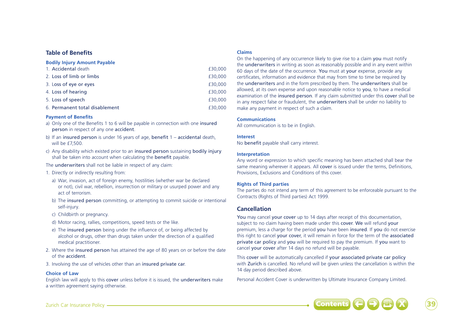# **Table of Benefits**

#### **Bodily Injury Amount Payable**

| 1. Accidental death            | £30.000 |
|--------------------------------|---------|
| 2. Loss of limb or limbs       | £30,000 |
| 3. Loss of eye or eyes         | £30,000 |
| 4. Loss of hearing             | £30,000 |
| 5. Loss of speech              | £30,000 |
| 6. Permanent total disablement | £30,000 |

### **Payment of Benefits**

- a) Only one of the Benefits 1 to 6 will be payable in connection with one insured person in respect of any one accident.
- b) If an insured person is under 16 years of age, benefit 1 accidental death, will be £7,500.
- c) Any disability which existed prior to an insured person sustaining bodily injury shall be taken into account when calculating the benefit payable.

#### The underwriters shall not be liable in respect of any claim:

- 1. Directly or indirectly resulting from:
	- a) War, invasion, act of foreign enemy, hostilities (whether war be declared or not), civil war, rebellion, insurrection or military or usurped power and any act of terrorism.
	- b) The insured person committing, or attempting to commit suicide or intentional self-injury.
	- c) Childbirth or pregnancy.
	- d) Motor racing, rallies, competitions, speed tests or the like.
	- e) The insured person being under the influence of, or being affected by alcohol or drugs, other than drugs taken under the direction of a qualified medical practitioner.
- 2. Where the insured person has attained the age of 80 years on or before the date of the accident.
- 3. Involving the use of vehicles other than an insured private car.

## **Choice of Law**

English law will apply to this cover unless before it is issued, the underwriters make a written agreement saying otherwise.

#### **Claims**

On the happening of any occurrence likely to give rise to a claim you must notify the underwriters in writing as soon as reasonably possible and in any event within 60 days of the date of the occurrence. You must at your expense, provide any certificates, information and evidence that may from time to time be required by the underwriters and in the form prescribed by them. The underwriters shall be allowed, at its own expense and upon reasonable notice to you, to have a medical examination of the insured person. If any claim submitted under this cover shall be in any respect false or fraudulent, the underwriters shall be under no liability to make any payment in respect of such a claim.

### **Communications**

All communication is to be in English.

### **Interest**

No benefit payable shall carry interest.

### **Interpretation**

Any word or expression to which specific meaning has been attached shall bear the same meaning wherever it appears. All cover is issued under the terms, Definitions, Provisions, Exclusions and Conditions of this cover.

## **Rights of Third parties**

The parties do not intend any term of this agreement to be enforceable pursuant to the Contracts (Rights of Third parties) Act 1999.

# **Cancellation**

You may cancel your cover up to 14 days after receipt of this documentation. subject to no claim having been made under this cover. We will refund your premium, less a charge for the period you have been insured. If you do not exercise this right to cancel your cover, it will remain in force for the term of the associated private car policy and you will be required to pay the premium. If you want to cancel your cover after 14 days no refund will be payable.

This cover will be automatically cancelled if your associated private car policy with Zurich is cancelled. No refund will be given unless the cancellation is within the 14 day period described above.

Personal Accident Cover is underwritten by Ultimate Insurance Company Limited.



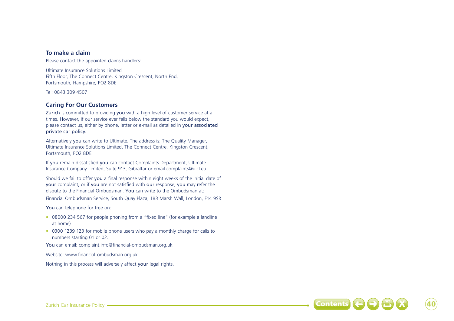# **To make a claim**

Please contact the appointed claims handlers:

Ultimate Insurance Solutions Limited Fifth Floor, The Connect Centre, Kingston Crescent, North End, Portsmouth, Hampshire, PO2 8DE

Tel: 0843 309 4507

# **Caring For Our Customers**

Zurich is committed to providing you with a high level of customer service at all times. However, if our service ever falls below the standard you would expect, please contact us, either by phone, letter or e-mail as detailed in your associated private car policy.

Alternatively you can write to Ultimate. The address is: The Quality Manager, Ultimate Insurance Solutions Limited, The Connect Centre, Kingston Crescent, Portsmouth, PO2 8DE

If you remain dissatisfied you can contact Complaints Department, Ultimate Insurance Company Limited, Suite 913, Gibraltar or email complaints@uicl.eu.

Should we fail to offer you a final response within eight weeks of the initial date of your complaint, or if you are not satisfied with our response, you may refer the dispute to the Financial Ombudsman. You can write to the Ombudsman at:

Financial Ombudsman Service, South Quay Plaza, 183 Marsh Wall, London, E14 9SR

You can telephone for free on:

- 08000 234 567 for people phoning from a "fixed line" (for example a landline at home)
- 0300 1239 123 for mobile phone users who pay a monthly charge for calls to numbers starting 01 or 02.

You can email: complaint.info@financial-ombudsman.org.uk

Website: www.financial-ombudsman.org.uk

Nothing in this process will adversely affect your legal rights.

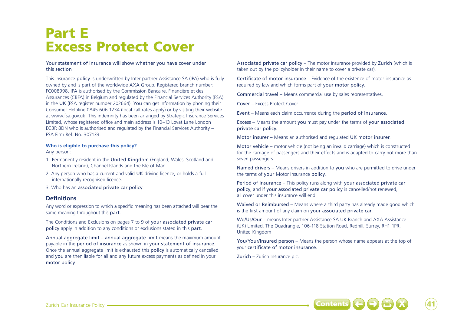# Part E Excess Protect Cover

Your statement of insurance will show whether you have cover under this section

This insurance policy is underwritten by Inter partner Assistance SA (IPA) who is fully owned by and is part of the worldwide AXA Group. Registered branch number: FC008998. IPA is authorised by the Commission Bancaire, Financière et des Assurances (CBFA) in Belgium and regulated by the Financial Services Authority (FSA) in the UK (FSA register number 202664). You can get information by phoning their Consumer Helpline 0845 606 1234 (local call rates apply) or by visiting their website at www.fsa.gov.uk. This indemnity has been arranged by Strategic Insurance Services Limited, whose registered office and main address is 10–13 Lovat Lane London EC3R 8DN who is authorised and regulated by the Financial Services Authority – FSA Firm Ref. No. 307133.

#### **Who is eligible to purchase this policy?**

Any person:

- 1. Permanently resident in the United Kingdom (England, Wales, Scotland and Northern Ireland), Channel Islands and the Isle of Man.
- 2. Any person who has a current and valid UK driving licence, or holds a full internationally recognised licence.
- 3. Who has an associated private car policy

# **Definitions**

Any word or expression to which a specific meaning has been attached will bear the same meaning throughout this part.

The Conditions and Exclusions on pages 7 to 9 of your associated private car policy apply in addition to any conditions or exclusions stated in this part.

Annual aggregate limit – annual aggregate limit means the maximum amount payable in the period of insurance as shown in your statement of insurance. Once the annual aggregate limit is exhausted this policy is automatically cancelled and you are then liable for all and any future excess payments as defined in your motor policy

Associated private car policy – The motor insurance provided by Zurich (which is taken out by the policyholder in their name to cover a private car).

Certificate of motor insurance – Evidence of the existence of motor insurance as required by law and which forms part of your motor policy.

Commercial travel – Means commercial use by sales representatives.

Cover – Excess Protect Cover

Event – Means each claim occurrence during the period of insurance.

Excess – Means the amount you must pay under the terms of your associated private car policy.

Motor insurer – Means an authorised and regulated UK motor insurer.

Motor vehicle – motor vehicle (not being an invalid carriage) which is constructed for the carriage of passengers and their effects and is adapted to carry not more than seven passengers.

Named drivers – Means drivers in addition to you who are permitted to drive under the terms of your Motor Insurance policy.

Period of insurance – This policy runs along with your associated private car policy, and if your associated private car policy is cancelled/not renewed, all cover under this insurance will end.

Waived or Reimbursed – Means where a third party has already made good which is the first amount of any claim on your associated private car.

We/Us/Our – means Inter partner Assistance SA UK Branch and AXA Assistance (UK) Limited, The Quadrangle, 106-118 Station Road, Redhill, Surrey, RH1 1PR, United Kingdom

You/Your/Insured person – Means the person whose name appears at the top of your certificate of motor insurance.

Zurich – Zurich Insurance plc.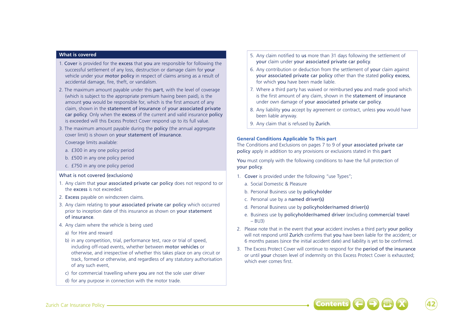#### **What is covered**

- 1. Cover is provided for the excess that you are responsible for following the successful settlement of any loss, destruction or damage claim for your vehicle under your motor policy in respect of claims arising as a result of accidental damage, fire, theft, or vandalism.
- 2. The maximum amount payable under this part, with the level of coverage (which is subject to the appropriate premium having been paid), is the amount you would be responsible for, which is the first amount of any claim, shown in the statement of insurance of your associated private car policy. Only when the excess of the current and valid insurance policy is exceeded will this Excess Protect Cover respond up to its full value.
- 3. The maximum amount payable during the **policy** (the annual aggregate) cover limit) is shown on your statement of insurance.

Coverage limits available:

- a. £300 in any one policy period
- b. £500 in any one policy period
- c. £750 in any one policy period

## What is not covered (exclusions)

- 1. Any claim that your associated private car policy does not respond to or the excess is not exceeded.
- 2. Excess payable on windscreen claims.
- 3. Any claim relating to your associated private car policy which occurred prior to inception date of this insurance as shown on your statement of insurance.
- 4. Any claim where the vehicle is being used
- a) for Hire and reward
- b) in any competition, trial, performance test, race or trial of speed, including off-road events, whether between motor vehicles or otherwise, and irrespective of whether this takes place on any circuit or track, formed or otherwise, and regardless of any statutory authorisation of any such event,
- c) for commercial travelling where you are not the sole user driver
- d) for any purpose in connection with the motor trade.
- 5. Any claim notified to us more than 31 days following the settlement of your claim under your associated private car policy.
- 6. Any contribution or deduction from the settlement of your claim against your associated private car policy other than the stated policy excess, for which you have been made liable.
- 7. Where a third party has waived or reimbursed you and made good which is the first amount of any claim, shown in the statement of insurance under own damage of your associated private car policy.
- 8. Any liability you accept by agreement or contract, unless you would have been liable anyway.
- 9. Any claim that is refused by Zurich.

## **General Conditions Applicable To This part**

The Conditions and Exclusions on pages 7 to 9 of your associated private car policy apply in addition to any provisions or exclusions stated in this part

You must comply with the following conditions to have the full protection of your policy.

- 1. Cover is provided under the following "use Types";
	- a. Social Domestic & Pleasure
	- b. Personal Business use by policyholder
	- c. Personal use by a named driver(s)
	- d. Personal Business use by policyholder/named driver(s)
	- e. Business use by policyholder/named driver (excluding commercial travel  $-$  BU<sub>3</sub>)
- 2. Please note that in the event that your accident involves a third party your policy will not respond until Zurich confirms that you have been liable for the accident; or 6 months passes (since the initial accident date) and liability is yet to be confirmed.
- 3. The Excess Protect Cover will continue to respond for the period of the insurance or until your chosen level of indemnity on this Excess Protect Cover is exhausted; which ever comes first.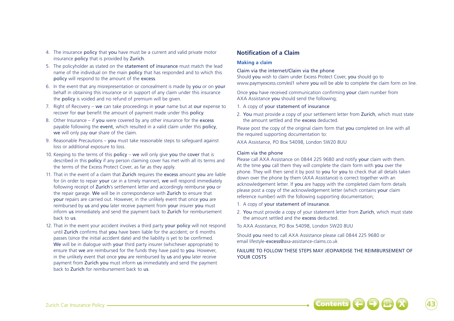- 4. The insurance policy that you have must be a current and valid private motor insurance policy that is provided by Zurich.
- 5. The policyholder as stated on the statement of insurance must match the lead name of the individual on the main policy that has responded and to which this policy will respond to the amount of the excess.
- 6. In the event that any misrepresentation or concealment is made by you or on your behalf in obtaining this insurance or in support of any claim under this insurance the policy is voided and no refund of premium will be given.
- 7. Right of Recovery we can take proceedings in your name but at our expense to recover for our benefit the amount of payment made under this policy.
- 8. Other Insurance if you were covered by any other insurance for the excess payable following the event, which resulted in a valid claim under this policy, we will only pay our share of the claim.
- 9. Reasonable Precautions you must take reasonable steps to safeguard against loss or additional exposure to loss.
- 10. Keeping to the terms of this policy we will only give you the cover that is described in this policy if any person claiming cover has met with all its terms and the terms of the Excess Protect Cover, as far as they apply.
- 11. That in the event of a claim that Zurich requires the excess amount you are liable for (in order to repair your car in a timely manner), we will respond immediately following receipt of Zurich's settlement letter and accordingly reimburse you or the repair garage. We will be in correspondence with Zurich to ensure that your repairs are carried out. However, in the unlikely event that once you are reimbursed by us and you later receive payment from your insurer you must inform us immediately and send the payment back to Zurich for reimbursement back to us.
- 12. That in the event your accident involves a third party your policy will not respond until Zurich confirms that you have been liable for the accident; or 6 months passes (since the initial accident date) and the liability is yet to be confirmed. We will be in dialogue with your third party insurer (whichever appropriate) to ensure that we are reimbursed for the funds they have paid to you. However, in the unlikely event that once you are reimbursed by us and you later receive payment from Zurich you must inform us immediately and send the payment back to Zurich for reimbursement back to us.

# **Notification of a Claim**

## **Making a claim**

## Claim via the internet/Claim via the phone

Should you wish to claim under Excess Protect Cover, you should go to www.paymyexcess.com/esl1 where you will be able to complete the claim form on line.

Once you have received communication confirming your claim number from AXA Assistance you should send the following;

- 1. A copy of your statement of insurance
- 2. You must provide a copy of your settlement letter from Zurich, which must state the amount settled and the excess deducted.

Please post the copy of the original claim form that you completed on line with all the required supporting documentation to:

AXA Assistance, PO Box 54098, London SW20 8UU

## Claim via the phone

Please call AXA Assistance on 0844 225 9680 and notify your claim with them. At the time you call them they will complete the claim form with you over the phone. They will then send it by post to you for you to check that all details taken down over the phone by them (AXA Assistance) is correct together with an acknowledgement letter. If you are happy with the completed claim form details please post a copy of the acknowledgement letter (which contains your claim reference number) with the following supporting documentation;

- 1. A copy of your statement of insurance.
- 2. You must provide a copy of your statement letter from Zurich, which must state the amount settled and the excess deducted.

To AXA Assistance, PO Box 54098, London SW20 8UU

Should you need to call AXA Assistance please call 0844 225 9680 or email lifestyle-excess@axa-assistance-claims.co.uk

# FAILURE TO FOLLOW THESE STEPS MAY JEOPARDISE THE REIMBURSEMENT OF YOUR COSTS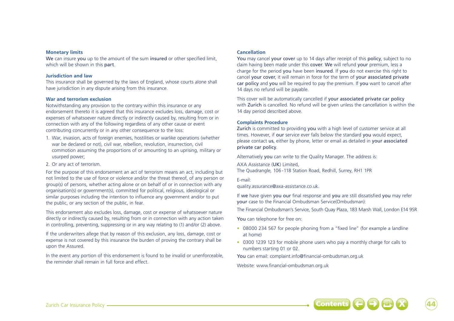#### **Monetary limits**

We can insure you up to the amount of the sum insured or other specified limit, which will be shown in this part.

#### **Jurisdiction and law**

This insurance shall be governed by the laws of England, whose courts alone shall have jurisdiction in any dispute arising from this insurance.

#### **War and terrorism exclusion**

Notwithstanding any provision to the contrary within this insurance or any endorsement thereto it is agreed that this insurance excludes loss, damage, cost or expenses of whatsoever nature directly or indirectly caused by, resulting from or in connection with any of the following regardless of any other cause or event contributing concurrently or in any other consequence to the loss:

- 1. War, invasion, acts of foreign enemies, hostilities or warlike operations (whether war be declared or not), civil war, rebellion, revolution, insurrection, civil commotion assuming the proportions of or amounting to an uprising, military or usurped power;
- 2. Or any act of terrorism.

For the purpose of this endorsement an act of terrorism means an act, including but not limited to the use of force or violence and/or the threat thereof, of any person or group(s) of persons, whether acting alone or on behalf of or in connection with any organisation(s) or government(s), committed for political, religious, ideological or similar purposes including the intention to influence any government and/or to put the public, or any section of the public, in fear.

This endorsement also excludes loss, damage, cost or expense of whatsoever nature directly or indirectly caused by, resulting from or in connection with any action taken in controlling, preventing, suppressing or in any way relating to (1) and/or (2) above.

If the underwriters allege that by reason of this exclusion, any loss, damage, cost or expense is not covered by this insurance the burden of proving the contrary shall be upon the Assured.

In the event any portion of this endorsement is found to be invalid or unenforceable, the reminder shall remain in full force and effect.

#### **Cancellation**

You may cancel your cover up to 14 days after receipt of this policy, subject to no claim having been made under this cover. We will refund your premium, less a charge for the period you have been insured. If you do not exercise this right to cancel your cover, it will remain in force for the term of your associated private car policy and you will be required to pay the premium. If you want to cancel after 14 days no refund will be payable.

This cover will be automatically cancelled if your associated private car policy with Zurich is cancelled. No refund will be given unless the cancellation is within the 14 day period described above.

#### **Complaints Procedure**

Zurich is committed to providing you with a high level of customer service at all times. However, if our service ever falls below the standard you would expect, please contact us, either by phone, letter or email as detailed in your associated private car policy.

Alternatively you can write to the Quality Manager. The address is:

AXA Assistance (UK) Limited, The Quadrangle, 106 -118 Station Road, Redhill, Surrey, RH1 1PR

E-mail:

quality.assurance@axa-assistance.co.uk.

If we have given you our final response and you are still dissatisfied you may refer your case to the Financial Ombudsman Service(Ombudsman):

The Financial Ombudsman's Service, South Quay Plaza, 183 Marsh Wall, London E14 9SR

You can telephone for free on:

- 08000 234 567 for people phoning from a "fixed line" (for example a landline at home)
- 0300 1239 123 for mobile phone users who pay a monthly charge for calls to numbers starting 01 or 02.

You can email: complaint.info@financial-ombudsman.org.uk

Website: www.financial-ombudsman.org.uk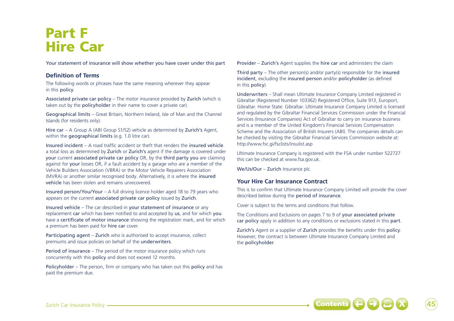# Part F Hire Car

Your statement of insurance will show whether you have cover under this part

# **Definition of Terms**

The following words or phrases have the same meaning wherever they appear in this policy.

Associated private car policy – The motor insurance provided by Zurich (which is taken out by the policyholder in their name to cover a private car).

Geographical limits – Great Britain, Northern Ireland, Isle of Man and the Channel Islands (for residents only).

Hire car – A Group A (ABI Group S1/S2) vehicle as determined by Zurich's Agent, within the **geographical limits** (e.g. 1.0 litre car).

Insured incident – A road traffic accident or theft that renders the insured vehicle a total loss as determined by Zurich or Zurich's agent if the damage is covered under your current associated private car policy OR, by the third party you are claiming against for your losses OR, if a fault accident by a garage who are a member of the Vehicle Builders Association (VBRA) or the Motor Vehicle Repairers Association (MVRA) or another similar recognised body. Alternatively, it is where the insured vehicle has been stolen and remains unrecovered.

Insured person/You/Your – A full driving licence holder aged 18 to 79 years who appears on the current associated private car policy issued by Zurich.

Insured vehicle – The car described in your statement of insurance or any replacement car which has been notified to and accepted by us, and for which you have a certificate of motor insurance showing the registration mark, and for which a premium has been paid for hire car cover.

Participating agent – Zurich who is authorised to accept insurance, collect premiums and issue policies on behalf of the underwriters.

Period of insurance – The period of the motor insurance policy which runs concurrently with this policy and does not exceed 12 months.

Policyholder – The person, firm or company who has taken out this policy and has paid the premium due.

Provider – Zurich's Agent supplies the hire car and administers the claim

Third party – The other person(s) and/or party(s) responsible for the insured incident, excluding the insured person and/or policyholder (as defined in this policy).

Underwriters – Shall mean Ultimate Insurance Company Limited registered in Gibraltar (Registered Number 103362) Registered Office, Suite 913, Europort, Gibraltar. Home State: Gibraltar. Ultimate Insurance Company Limited is licensed and regulated by the Gibraltar Financial Services Commission under the Financial Services (Insurance Companies) Act of Gibraltar to carry on insurance business and is a member of the United Kingdom's Financial Services Compensation Scheme and the Association of British Insurers (ABI). The companies details can be checked by visiting the Gibraltar Financial Services Commission website at: http://www.fsc.gi/fsclists/insulist.asp

Ultimate Insurance Company is registered with the FSA under number 522727 this can be checked at www.fsa.gov.uk.

We/Us/Our - Zurich Insurance plc.

# **Your Hire Car Insurance Contract**

This is to confirm that Ultimate Insurance Company Limited will provide the cover described below during the period of insurance.

Cover is subject to the terms and conditions that follow.

The Conditions and Exclusions on pages 7 to 9 of your associated private car policy apply in addition to any conditions or exclusions stated in this part.

Zurich's Agent or a supplier of Zurich provides the benefits under this policy. However, the contract is between Ultimate Insurance Company Limited and the policyholder.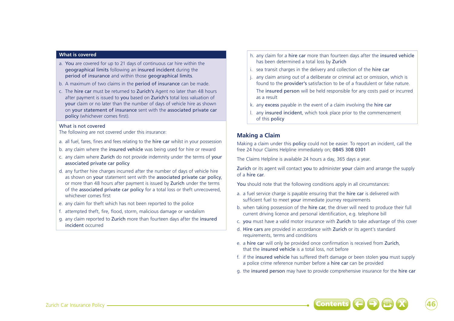#### **What is covered**

- a. You are covered for up to 21 days of continuous car hire within the geographical limits following an insured incident during the period of insurance and within those geographical limits.
- b. A maximum of two claims in the period of insurance can be made.
- c. The hire car must be returned to Zurich's Agent no later than 48 hours after payment is issued to you based on Zurich's total loss valuation of your claim or no later than the number of days of vehicle hire as shown on your statement of insurance sent with the associated private car policy (whichever comes first).

### What is not covered

The following are not covered under this insurance:

- a. all fuel, fares, fines and fees relating to the hire car whilst in your possession
- b. any claim where the insured vehicle was being used for hire or reward
- c. any claim where Zurich do not provide indemnity under the terms of your associated private car policy
- d. any further hire charges incurred after the number of days of vehicle hire as shown on your statement sent with the associated private car policy, or more than 48 hours after payment is issued by Zurich under the terms of the associated private car policy for a total loss or theft unrecovered, whichever comes first
- e. any claim for theft which has not been reported to the police
- f. attempted theft, fire, flood, storm, malicious damage or vandalism
- g. any claim reported to Zurich more than fourteen days after the insured incident occurred
- h. any claim for a hire car more than fourteen days after the insured vehicle has been determined a total loss by Zurich
- i. sea transit charges in the delivery and collection of the hire car
- j. any claim arising out of a deliberate or criminal act or omission, which is found to the provider's satisfaction to be of a fraudulent or false nature.

The insured person will be held responsible for any costs paid or incurred as a result

- k. any excess payable in the event of a claim involving the hire car
- l. any insured incident, which took place prior to the commencement of this policy

# **Making a Claim**

Making a claim under this policy could not be easier. To report an incident, call the free 24 hour Claims Helpline immediately on; 0845 308 0301

The Claims Helpline is available 24 hours a day, 365 days a year.

Zurich or its agent will contact you to administer your claim and arrange the supply of a hire car.

You should note that the following conditions apply in all circumstances:

- a. a fuel service charge is payable ensuring that the **hire car** is delivered with sufficient fuel to meet your immediate journey requirements
- b. when taking possession of the hire car, the driver will need to produce their full current driving licence and personal identification, e.g. telephone bill
- c. you must have a valid motor insurance with Zurich to take advantage of this cover
- d. Hire cars are provided in accordance with Zurich or its agent's standard requirements, terms and conditions
- e. a hire car will only be provided once confirmation is received from Zurich, that the insured vehicle is a total loss, not before
- f. if the insured vehicle has suffered theft damage or been stolen you must supply a police crime reference number before a hire car can be provided
- g. the insured person may have to provide comprehensive insurance for the hire car

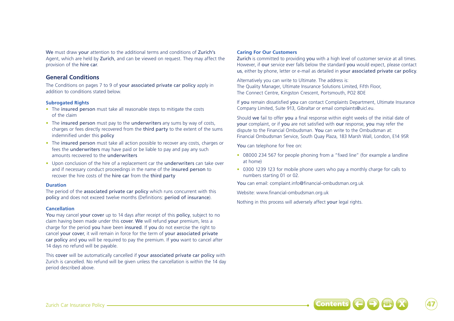We must draw your attention to the additional terms and conditions of Zurich's Agent, which are held by Zurich, and can be viewed on request. They may affect the provision of the hire car.

# **General Conditions**

The Conditions on pages 7 to 9 of your associated private car policy apply in addition to conditions stated below.

# **Subrogated Rights**

- The insured person must take all reasonable steps to mitigate the costs of the claim
- The insured person must pay to the underwriters any sums by way of costs, charges or fees directly recovered from the third party to the extent of the sums indemnified under this policy
- The insured person must take all action possible to recover any costs, charges or fees the underwriters may have paid or be liable to pay and pay any such amounts recovered to the underwriters
- Upon conclusion of the hire of a replacement car the underwriters can take over and if necessary conduct proceedings in the name of the insured person to recover the hire costs of the hire car from the third party

## **Duration**

The period of the associated private car policy which runs concurrent with this policy and does not exceed twelve months (Definitions: period of insurance).

## **Cancellation**

You may cancel your cover up to 14 days after receipt of this policy, subject to no claim having been made under this cover. We will refund your premium, less a charge for the period you have been insured. If you do not exercise the right to cancel your cover, it will remain in force for the term of your associated private car policy and you will be required to pay the premium. If you want to cancel after 14 days no refund will be payable.

This cover will be automatically cancelled if your associated private car policy with Zurich is cancelled. No refund will be given unless the cancellation is within the 14 day period described above.

# **Caring For Our Customers**

Zurich is committed to providing you with a high level of customer service at all times. However, if our service ever falls below the standard you would expect, please contact us, either by phone, letter or e-mail as detailed in your associated private car policy.

Alternatively you can write to Ultimate. The address is: The Quality Manager, Ultimate Insurance Solutions Limited, Fifth Floor, The Connect Centre, Kingston Crescent, Portsmouth, PO2 8DE

If you remain dissatisfied you can contact Complaints Department, Ultimate Insurance Company Limited, Suite 913, Gibraltar or email complaints@uicl.eu.

Should we fail to offer you a final response within eight weeks of the initial date of your complaint, or if you are not satisfied with our response, you may refer the dispute to the Financial Ombudsman. You can write to the Ombudsman at: Financial Ombudsman Service, South Quay Plaza, 183 Marsh Wall, London, E14 9SR

You can telephone for free on:

- 08000 234 567 for people phoning from a "fixed line" (for example a landline at home)
- 0300 1239 123 for mobile phone users who pay a monthly charge for calls to numbers starting 01 or 02.

You can email: complaint.info@financial-ombudsman.org.uk

Website: www.financial-ombudsman.org.uk

Nothing in this process will adversely affect your legal rights.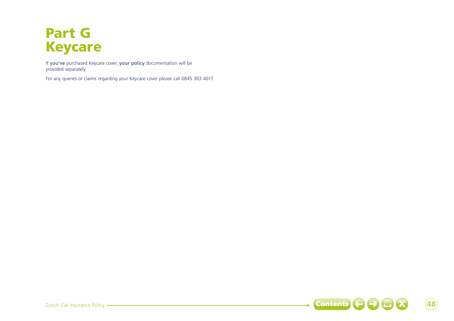# Part G Keycare

If you've purchased Keycare cover, your policy documentation will be provided separately.

For any queries or claims regarding your Keycare cover please call 0845 303 4017.